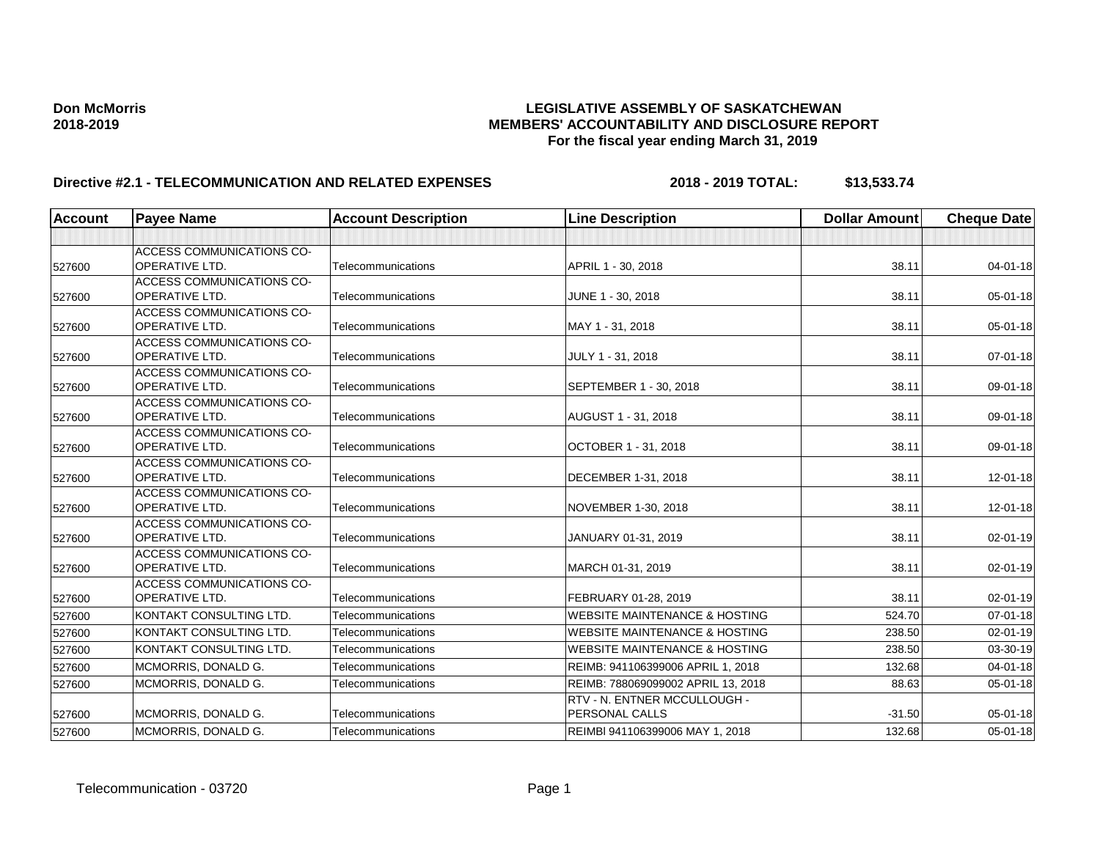| <b>Account</b> | <b>Payee Name</b>                                         | <b>Account Description</b> | <b>Line Description</b>                  | <b>Dollar Amount</b> | <b>Cheque Date</b> |
|----------------|-----------------------------------------------------------|----------------------------|------------------------------------------|----------------------|--------------------|
|                |                                                           |                            |                                          |                      |                    |
|                | <b>ACCESS COMMUNICATIONS CO-</b>                          |                            |                                          |                      |                    |
| 527600         | <b>OPERATIVE LTD.</b>                                     | Telecommunications         | APRIL 1 - 30, 2018                       | 38.11                | $04 - 01 - 18$     |
|                | <b>ACCESS COMMUNICATIONS CO-</b>                          |                            |                                          |                      |                    |
| 527600         | <b>OPERATIVE LTD.</b>                                     | Telecommunications         | JUNE 1 - 30, 2018                        | 38.11                | $05 - 01 - 18$     |
|                | <b>ACCESS COMMUNICATIONS CO-</b>                          |                            |                                          |                      |                    |
| 527600         | <b>OPERATIVE LTD.</b>                                     | Telecommunications         | MAY 1 - 31, 2018                         | 38.11                | 05-01-18           |
|                | <b>ACCESS COMMUNICATIONS CO-</b>                          |                            |                                          |                      |                    |
| 527600         | <b>OPERATIVE LTD.</b>                                     | Telecommunications         | JULY 1 - 31, 2018                        | 38.11                | $07 - 01 - 18$     |
|                | <b>ACCESS COMMUNICATIONS CO-</b>                          |                            |                                          |                      |                    |
| 527600         | OPERATIVE LTD.                                            | Telecommunications         | SEPTEMBER 1 - 30, 2018                   | 38.11                | 09-01-18           |
|                | <b>ACCESS COMMUNICATIONS CO-</b>                          |                            |                                          |                      |                    |
| 527600         | <b>OPERATIVE LTD.</b>                                     | Telecommunications         | AUGUST 1 - 31, 2018                      | 38.11                | 09-01-18           |
|                | <b>ACCESS COMMUNICATIONS CO-</b>                          |                            |                                          |                      |                    |
| 527600         | <b>OPERATIVE LTD.</b>                                     | Telecommunications         | OCTOBER 1 - 31, 2018                     | 38.11                | 09-01-18           |
|                | ACCESS COMMUNICATIONS CO-                                 |                            |                                          |                      |                    |
| 527600         | <b>OPERATIVE LTD.</b>                                     | Telecommunications         | DECEMBER 1-31, 2018                      | 38.11                | $12 - 01 - 18$     |
|                | <b>ACCESS COMMUNICATIONS CO-</b><br><b>OPERATIVE LTD.</b> | Telecommunications         |                                          | 38.11                | 12-01-18           |
| 527600         |                                                           |                            | NOVEMBER 1-30, 2018                      |                      |                    |
|                | <b>ACCESS COMMUNICATIONS CO-</b><br><b>OPERATIVE LTD.</b> | Telecommunications         | JANUARY 01-31, 2019                      | 38.11                | $02 - 01 - 19$     |
| 527600         | ACCESS COMMUNICATIONS CO-                                 |                            |                                          |                      |                    |
| 527600         | <b>OPERATIVE LTD.</b>                                     | Telecommunications         | MARCH 01-31, 2019                        | 38.11                | 02-01-19           |
|                | <b>ACCESS COMMUNICATIONS CO-</b>                          |                            |                                          |                      |                    |
| 527600         | <b>OPERATIVE LTD.</b>                                     | Telecommunications         | FEBRUARY 01-28, 2019                     | 38.11                | $02 - 01 - 19$     |
| 527600         | KONTAKT CONSULTING LTD.                                   | Telecommunications         | <b>WEBSITE MAINTENANCE &amp; HOSTING</b> | 524.70               | $07 - 01 - 18$     |
| 527600         | KONTAKT CONSULTING LTD.                                   | Telecommunications         | <b>WEBSITE MAINTENANCE &amp; HOSTING</b> | 238.50               | 02-01-19           |
|                |                                                           |                            |                                          |                      |                    |
| 527600         | KONTAKT CONSULTING LTD.                                   | Telecommunications         | <b>WEBSITE MAINTENANCE &amp; HOSTING</b> | 238.50               | 03-30-19           |
| 527600         | MCMORRIS, DONALD G.                                       | Telecommunications         | REIMB: 941106399006 APRIL 1, 2018        | 132.68               | $04 - 01 - 18$     |
| 527600         | MCMORRIS, DONALD G.                                       | Telecommunications         | REIMB: 788069099002 APRIL 13, 2018       | 88.63                | 05-01-18           |
|                |                                                           |                            | <b>RTV - N. ENTNER MCCULLOUGH -</b>      |                      |                    |
| 527600         | MCMORRIS, DONALD G.                                       | Telecommunications         | PERSONAL CALLS                           | $-31.50$             | $05 - 01 - 18$     |
| 527600         | MCMORRIS, DONALD G.                                       | Telecommunications         | REIMBI 941106399006 MAY 1, 2018          | 132.68               | $05 - 01 - 18$     |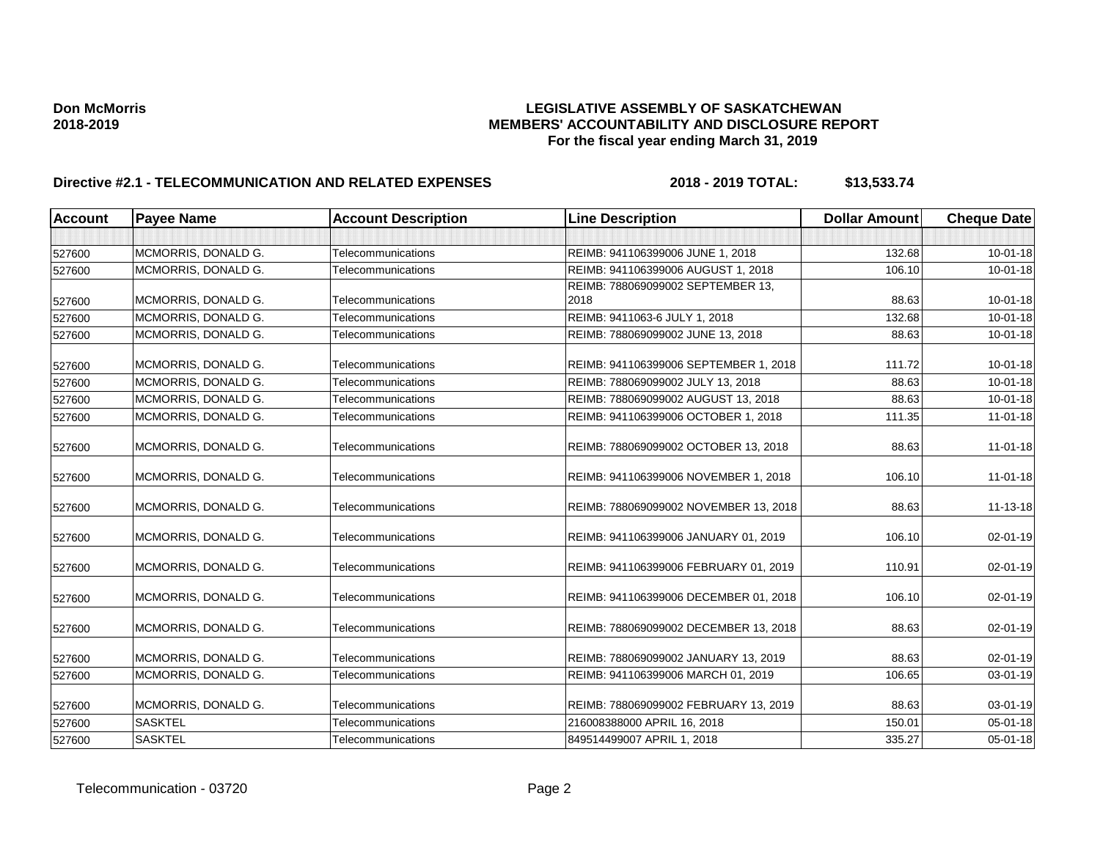| <b>Account</b> | <b>Payee Name</b>   | <b>Account Description</b> | <b>Line Description</b>               | <b>Dollar Amount</b> | <b>Cheque Date</b> |
|----------------|---------------------|----------------------------|---------------------------------------|----------------------|--------------------|
|                |                     |                            |                                       |                      |                    |
| 527600         | MCMORRIS, DONALD G. | Telecommunications         | REIMB: 941106399006 JUNE 1, 2018      | 132.68               | $10 - 01 - 18$     |
| 527600         | MCMORRIS, DONALD G. | Telecommunications         | REIMB: 941106399006 AUGUST 1, 2018    | 106.10               | $10 - 01 - 18$     |
|                |                     |                            | REIMB: 788069099002 SEPTEMBER 13,     |                      |                    |
| 527600         | MCMORRIS, DONALD G. | Telecommunications         | 2018                                  | 88.63                | $10 - 01 - 18$     |
| 527600         | MCMORRIS, DONALD G. | Telecommunications         | REIMB: 9411063-6 JULY 1, 2018         | 132.68               | $10 - 01 - 18$     |
| 527600         | MCMORRIS, DONALD G. | Telecommunications         | REIMB: 788069099002 JUNE 13, 2018     | 88.63                | $10 - 01 - 18$     |
| 527600         | MCMORRIS, DONALD G. | Telecommunications         | REIMB: 941106399006 SEPTEMBER 1, 2018 | 111.72               | $10 - 01 - 18$     |
| 527600         | MCMORRIS, DONALD G. | Telecommunications         | REIMB: 788069099002 JULY 13, 2018     | 88.63                | $10 - 01 - 18$     |
| 527600         | MCMORRIS, DONALD G. | Telecommunications         | REIMB: 788069099002 AUGUST 13, 2018   | 88.63                | $10 - 01 - 18$     |
| 527600         | MCMORRIS, DONALD G. | Telecommunications         | REIMB: 941106399006 OCTOBER 1, 2018   | 111.35               | $11-01-18$         |
| 527600         | MCMORRIS, DONALD G. | Telecommunications         | REIMB: 788069099002 OCTOBER 13, 2018  | 88.63                | 11-01-18           |
| 527600         | MCMORRIS, DONALD G. | Telecommunications         | REIMB: 941106399006 NOVEMBER 1, 2018  | 106.10               | $11 - 01 - 18$     |
| 527600         | MCMORRIS, DONALD G. | Telecommunications         | REIMB: 788069099002 NOVEMBER 13, 2018 | 88.63                | 11-13-18           |
| 527600         | MCMORRIS, DONALD G. | Telecommunications         | REIMB: 941106399006 JANUARY 01, 2019  | 106.10               | 02-01-19           |
| 527600         | MCMORRIS, DONALD G. | Telecommunications         | REIMB: 941106399006 FEBRUARY 01, 2019 | 110.91               | 02-01-19           |
| 527600         | MCMORRIS, DONALD G. | Telecommunications         | REIMB: 941106399006 DECEMBER 01, 2018 | 106.10               | $02 - 01 - 19$     |
| 527600         | MCMORRIS, DONALD G. | Telecommunications         | REIMB: 788069099002 DECEMBER 13, 2018 | 88.63                | 02-01-19           |
| 527600         | MCMORRIS, DONALD G. | Telecommunications         | REIMB: 788069099002 JANUARY 13, 2019  | 88.63                | 02-01-19           |
| 527600         | MCMORRIS, DONALD G. | Telecommunications         | REIMB: 941106399006 MARCH 01, 2019    | 106.65               | 03-01-19           |
| 527600         | MCMORRIS, DONALD G. | Telecommunications         | REIMB: 788069099002 FEBRUARY 13, 2019 | 88.63                | 03-01-19           |
| 527600         | <b>SASKTEL</b>      | Telecommunications         | 216008388000 APRIL 16, 2018           | 150.01               | 05-01-18           |
| 527600         | <b>SASKTEL</b>      | Telecommunications         | 849514499007 APRIL 1, 2018            | 335.27               | 05-01-18           |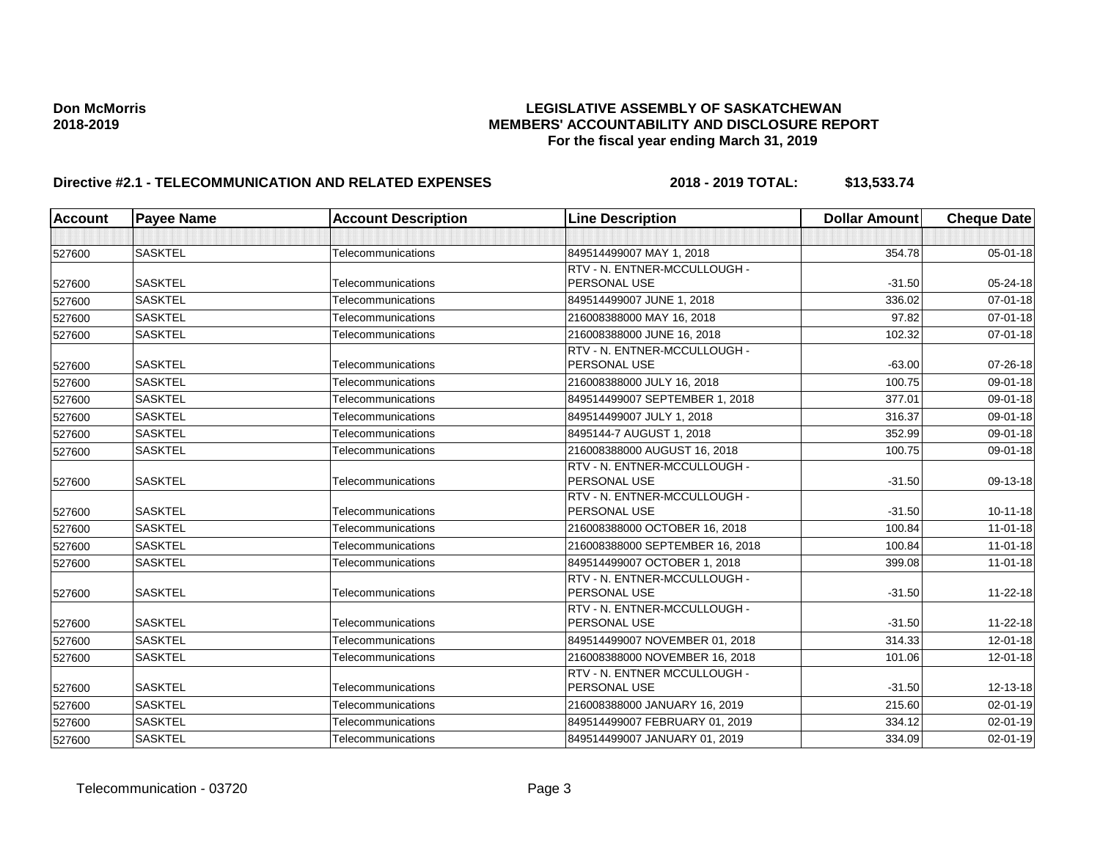| <b>Account</b> | <b>Payee Name</b> | <b>Account Description</b> | <b>Line Description</b>         | <b>Dollar Amount</b> | <b>Cheque Date</b> |
|----------------|-------------------|----------------------------|---------------------------------|----------------------|--------------------|
|                |                   |                            |                                 |                      |                    |
| 527600         | <b>SASKTEL</b>    | Telecommunications         | 849514499007 MAY 1, 2018        | 354.78               | $05 - 01 - 18$     |
|                |                   |                            | RTV - N. ENTNER-MCCULLOUGH -    |                      |                    |
| 527600         | <b>SASKTEL</b>    | Telecommunications         | PERSONAL USE                    | $-31.50$             | 05-24-18           |
| 527600         | <b>SASKTEL</b>    | Telecommunications         | 849514499007 JUNE 1, 2018       | 336.02               | $07 - 01 - 18$     |
| 527600         | <b>SASKTEL</b>    | Telecommunications         | 216008388000 MAY 16, 2018       | 97.82                | 07-01-18           |
| 527600         | <b>SASKTEL</b>    | Telecommunications         | 216008388000 JUNE 16, 2018      | 102.32               | 07-01-18           |
|                |                   |                            | RTV - N. ENTNER-MCCULLOUGH -    |                      |                    |
| 527600         | <b>SASKTEL</b>    | Telecommunications         | PERSONAL USE                    | $-63.00$             | 07-26-18           |
| 527600         | <b>SASKTEL</b>    | Telecommunications         | 216008388000 JULY 16, 2018      | 100.75               | 09-01-18           |
| 527600         | <b>SASKTEL</b>    | Telecommunications         | 849514499007 SEPTEMBER 1, 2018  | 377.01               | 09-01-18           |
| 527600         | <b>SASKTEL</b>    | Telecommunications         | 849514499007 JULY 1, 2018       | 316.37               | 09-01-18           |
| 527600         | <b>SASKTEL</b>    | Telecommunications         | 8495144-7 AUGUST 1, 2018        | 352.99               | 09-01-18           |
| 527600         | <b>SASKTEL</b>    | Telecommunications         | 216008388000 AUGUST 16, 2018    | 100.75               | 09-01-18           |
|                |                   |                            | RTV - N. ENTNER-MCCULLOUGH -    |                      |                    |
| 527600         | <b>SASKTEL</b>    | Telecommunications         | PERSONAL USE                    | $-31.50$             | 09-13-18           |
|                |                   |                            | RTV - N. ENTNER-MCCULLOUGH -    |                      |                    |
| 527600         | <b>SASKTEL</b>    | Telecommunications         | PERSONAL USE                    | $-31.50$             | $10 - 11 - 18$     |
| 527600         | <b>SASKTEL</b>    | Telecommunications         | 216008388000 OCTOBER 16, 2018   | 100.84               | $11 - 01 - 18$     |
| 527600         | <b>SASKTEL</b>    | Telecommunications         | 216008388000 SEPTEMBER 16, 2018 | 100.84               | $11 - 01 - 18$     |
| 527600         | <b>SASKTEL</b>    | Telecommunications         | 849514499007 OCTOBER 1, 2018    | 399.08               | $11 - 01 - 18$     |
|                |                   |                            | RTV - N. ENTNER-MCCULLOUGH -    |                      |                    |
| 527600         | <b>SASKTEL</b>    | Telecommunications         | PERSONAL USE                    | $-31.50$             | 11-22-18           |
|                |                   |                            | RTV - N. ENTNER-MCCULLOUGH -    |                      |                    |
| 527600         | <b>SASKTEL</b>    | Telecommunications         | PERSONAL USE                    | $-31.50$             | $11 - 22 - 18$     |
| 527600         | <b>SASKTEL</b>    | Telecommunications         | 849514499007 NOVEMBER 01, 2018  | 314.33               | $12 - 01 - 18$     |
| 527600         | <b>SASKTEL</b>    | Telecommunications         | 216008388000 NOVEMBER 16, 2018  | 101.06               | 12-01-18           |
|                |                   |                            | RTV - N. ENTNER MCCULLOUGH -    |                      |                    |
| 527600         | <b>SASKTEL</b>    | Telecommunications         | PERSONAL USE                    | $-31.50$             | 12-13-18           |
| 527600         | <b>SASKTEL</b>    | Telecommunications         | 216008388000 JANUARY 16, 2019   | 215.60               | 02-01-19           |
| 527600         | <b>SASKTEL</b>    | Telecommunications         | 849514499007 FEBRUARY 01, 2019  | 334.12               | 02-01-19           |
| 527600         | <b>SASKTEL</b>    | Telecommunications         | 849514499007 JANUARY 01, 2019   | 334.09               | 02-01-19           |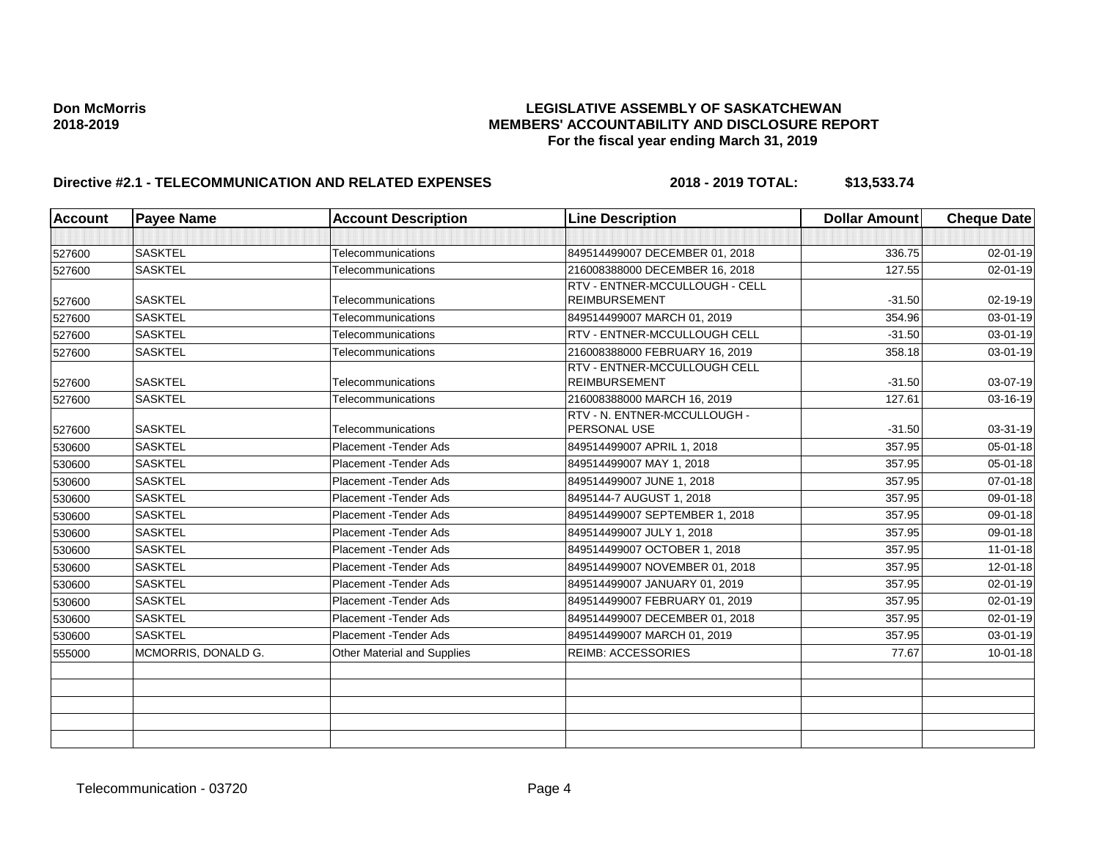| <b>Account</b> | <b>Payee Name</b>   | <b>Account Description</b>  | <b>Line Description</b>                              | <b>Dollar Amount</b> | <b>Cheque Date</b> |
|----------------|---------------------|-----------------------------|------------------------------------------------------|----------------------|--------------------|
|                |                     |                             |                                                      |                      |                    |
| 527600         | <b>SASKTEL</b>      | Telecommunications          | 849514499007 DECEMBER 01, 2018                       | 336.75               | $02 - 01 - 19$     |
| 527600         | <b>SASKTEL</b>      | Telecommunications          | 216008388000 DECEMBER 16, 2018                       | 127.55               | 02-01-19           |
|                |                     |                             | RTV - ENTNER-MCCULLOUGH - CELL                       |                      |                    |
| 527600         | <b>SASKTEL</b>      | Telecommunications          | <b>REIMBURSEMENT</b>                                 | $-31.50$             | 02-19-19           |
| 527600         | <b>SASKTEL</b>      | Telecommunications          | 849514499007 MARCH 01, 2019                          | 354.96               | 03-01-19           |
| 527600         | <b>SASKTEL</b>      | Telecommunications          | RTV - ENTNER-MCCULLOUGH CELL                         | $-31.50$             | 03-01-19           |
| 527600         | <b>SASKTEL</b>      | Telecommunications          | 216008388000 FEBRUARY 16, 2019                       | 358.18               | $03 - 01 - 19$     |
| 527600         | <b>SASKTEL</b>      | Telecommunications          | RTV - ENTNER-MCCULLOUGH CELL<br><b>REIMBURSEMENT</b> | $-31.50$             | 03-07-19           |
| 527600         | <b>SASKTEL</b>      | Telecommunications          | 216008388000 MARCH 16, 2019                          | 127.61               | 03-16-19           |
| 527600         | <b>SASKTEL</b>      | Telecommunications          | RTV - N. ENTNER-MCCULLOUGH -<br>PERSONAL USE         | $-31.50$             | 03-31-19           |
| 530600         | <b>SASKTEL</b>      | Placement - Tender Ads      | 849514499007 APRIL 1, 2018                           | 357.95               | 05-01-18           |
| 530600         | <b>SASKTEL</b>      | Placement - Tender Ads      | 849514499007 MAY 1, 2018                             | 357.95               | 05-01-18           |
| 530600         | <b>SASKTEL</b>      | Placement - Tender Ads      | 849514499007 JUNE 1, 2018                            | 357.95               | 07-01-18           |
| 530600         | <b>SASKTEL</b>      | Placement - Tender Ads      | 8495144-7 AUGUST 1, 2018                             | 357.95               | 09-01-18           |
| 530600         | <b>SASKTEL</b>      | Placement - Tender Ads      | 849514499007 SEPTEMBER 1, 2018                       | 357.95               | 09-01-18           |
| 530600         | <b>SASKTEL</b>      | Placement - Tender Ads      | 849514499007 JULY 1, 2018                            | 357.95               | 09-01-18           |
| 530600         | <b>SASKTEL</b>      | Placement - Tender Ads      | 849514499007 OCTOBER 1, 2018                         | 357.95               | $11 - 01 - 18$     |
| 530600         | <b>SASKTEL</b>      | Placement - Tender Ads      | 849514499007 NOVEMBER 01, 2018                       | 357.95               | 12-01-18           |
| 530600         | <b>SASKTEL</b>      | Placement - Tender Ads      | 849514499007 JANUARY 01, 2019                        | 357.95               | 02-01-19           |
| 530600         | <b>SASKTEL</b>      | Placement - Tender Ads      | 849514499007 FEBRUARY 01, 2019                       | 357.95               | 02-01-19           |
| 530600         | <b>SASKTEL</b>      | Placement - Tender Ads      | 849514499007 DECEMBER 01, 2018                       | 357.95               | 02-01-19           |
| 530600         | <b>SASKTEL</b>      | Placement - Tender Ads      | 849514499007 MARCH 01, 2019                          | 357.95               | 03-01-19           |
| 555000         | MCMORRIS, DONALD G. | Other Material and Supplies | <b>REIMB: ACCESSORIES</b>                            | 77.67                | $10 - 01 - 18$     |
|                |                     |                             |                                                      |                      |                    |
|                |                     |                             |                                                      |                      |                    |
|                |                     |                             |                                                      |                      |                    |
|                |                     |                             |                                                      |                      |                    |
|                |                     |                             |                                                      |                      |                    |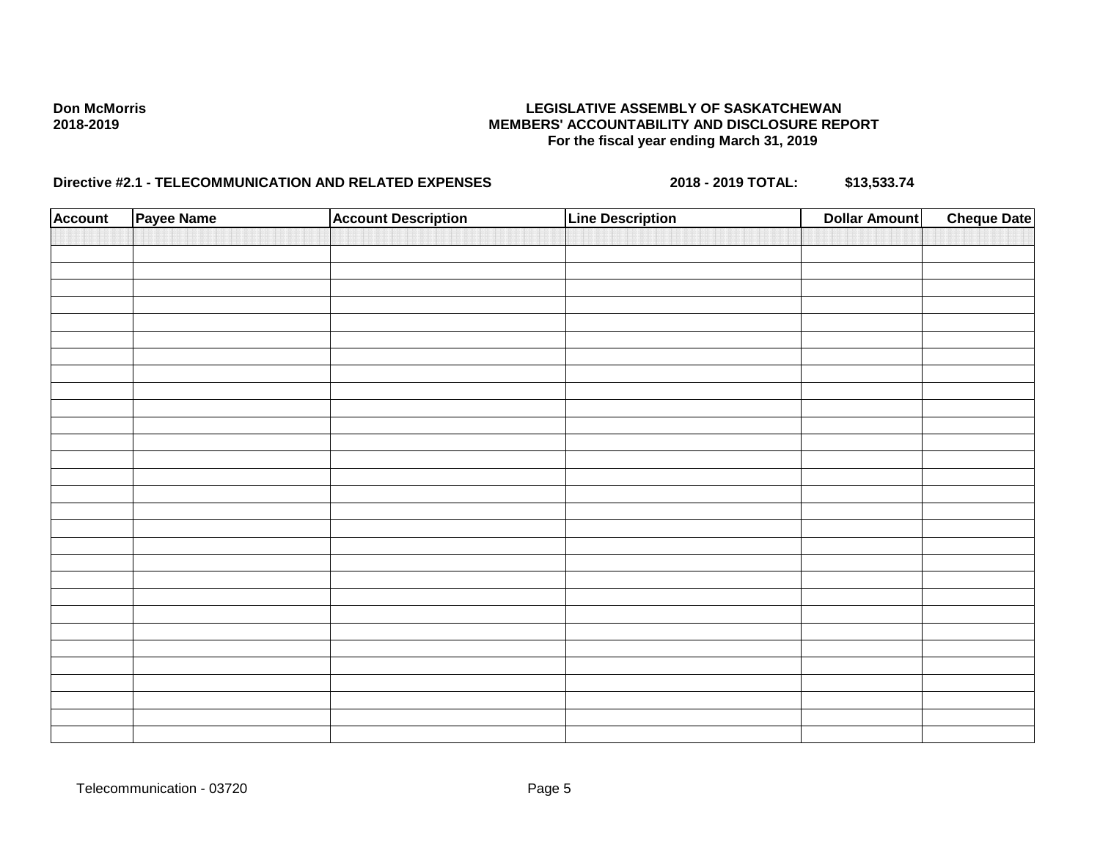| <b>Account</b> | Payee Name | <b>Account Description</b> | <b>Line Description</b> | <b>Dollar Amount</b> | <b>Cheque Date</b> |
|----------------|------------|----------------------------|-------------------------|----------------------|--------------------|
|                |            |                            |                         |                      |                    |
|                |            |                            |                         |                      |                    |
|                |            |                            |                         |                      |                    |
|                |            |                            |                         |                      |                    |
|                |            |                            |                         |                      |                    |
|                |            |                            |                         |                      |                    |
|                |            |                            |                         |                      |                    |
|                |            |                            |                         |                      |                    |
|                |            |                            |                         |                      |                    |
|                |            |                            |                         |                      |                    |
|                |            |                            |                         |                      |                    |
|                |            |                            |                         |                      |                    |
|                |            |                            |                         |                      |                    |
|                |            |                            |                         |                      |                    |
|                |            |                            |                         |                      |                    |
|                |            |                            |                         |                      |                    |
|                |            |                            |                         |                      |                    |
|                |            |                            |                         |                      |                    |
|                |            |                            |                         |                      |                    |
|                |            |                            |                         |                      |                    |
|                |            |                            |                         |                      |                    |
|                |            |                            |                         |                      |                    |
|                |            |                            |                         |                      |                    |
|                |            |                            |                         |                      |                    |
|                |            |                            |                         |                      |                    |
|                |            |                            |                         |                      |                    |
|                |            |                            |                         |                      |                    |
|                |            |                            |                         |                      |                    |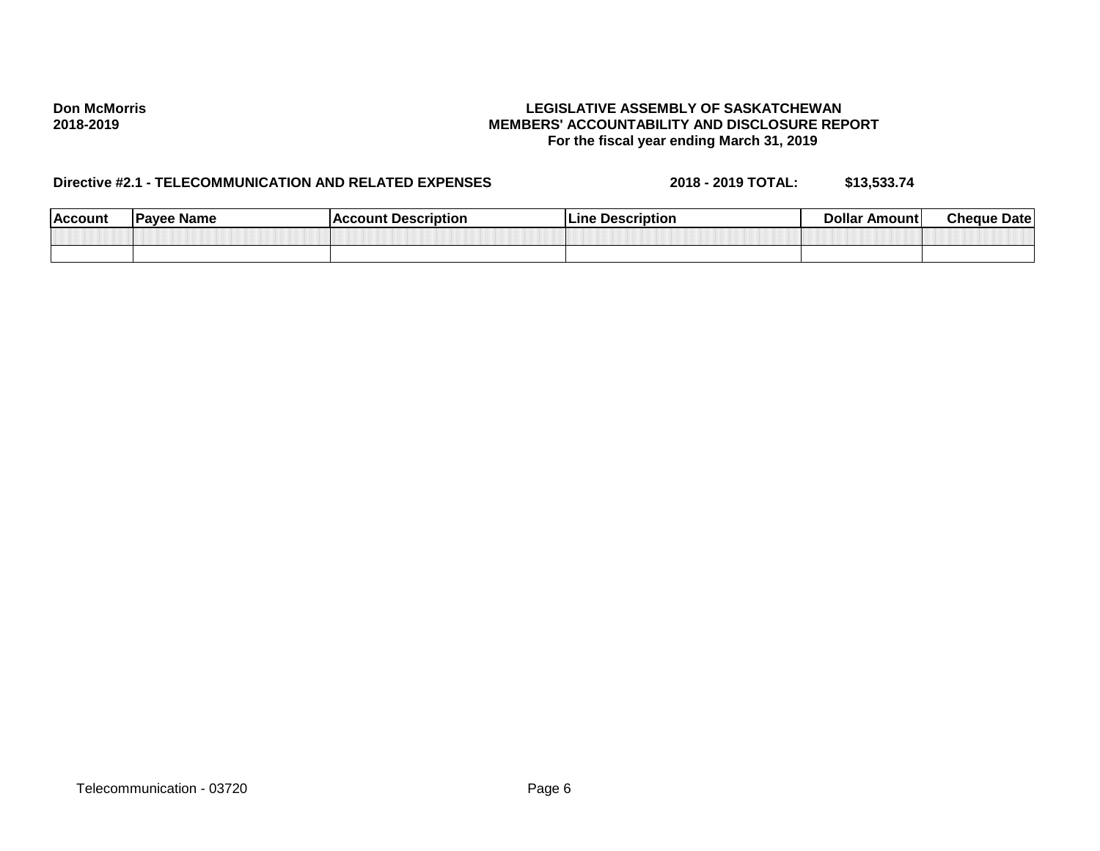| <b>Account</b> | <b>Payee Name</b> | <b>Description</b><br>`≏oun⊾<br>ΔC | Description<br>Lıne<br>---- | <b>Dollar</b><br>Amount | Cheque<br><b>Date</b> |
|----------------|-------------------|------------------------------------|-----------------------------|-------------------------|-----------------------|
|                |                   |                                    |                             |                         |                       |
|                |                   |                                    |                             |                         |                       |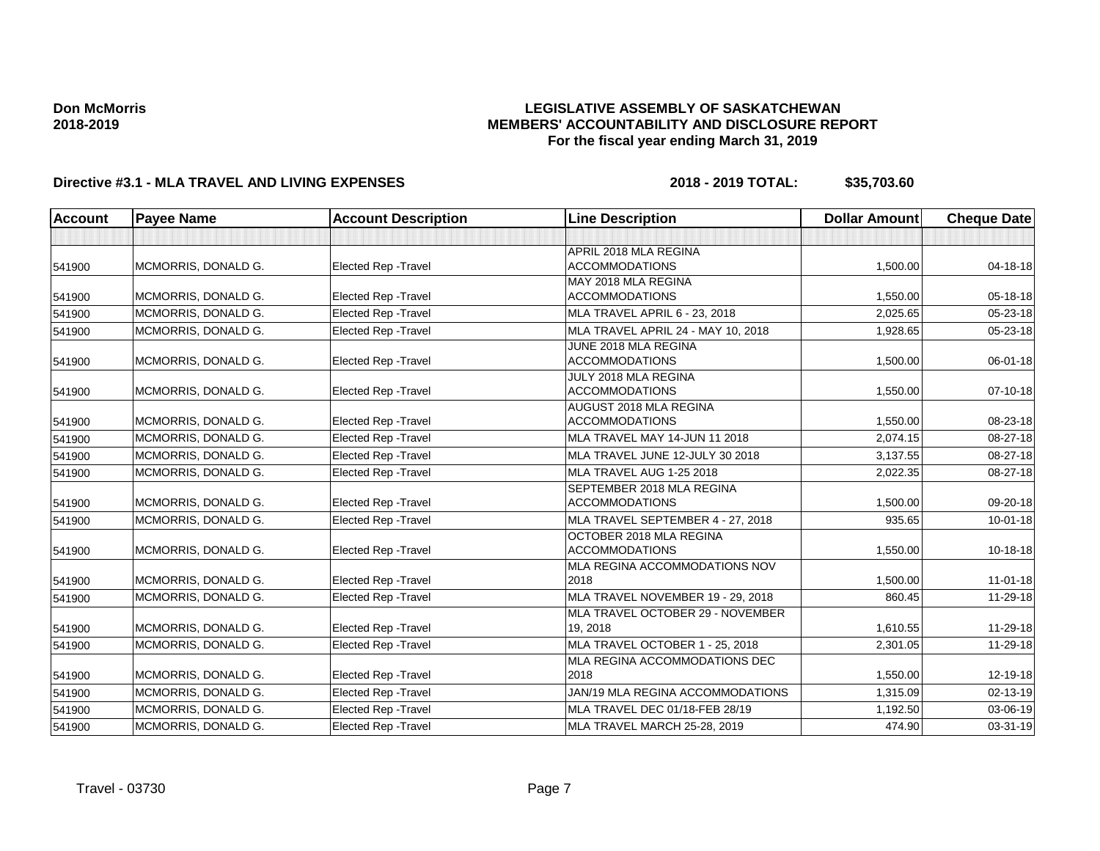## **LEGISLATIVE ASSEMBLY OF SASKATCHEWAN MEMBERS' ACCOUNTABILITY AND DISCLOSURE REPORT For the fiscal year ending March 31, 2019**

| Account | <b>Payee Name</b>   | <b>Account Description</b>  | <b>Line Description</b>            | <b>Dollar Amount</b> | <b>Cheque Date</b> |
|---------|---------------------|-----------------------------|------------------------------------|----------------------|--------------------|
|         |                     |                             |                                    |                      |                    |
|         |                     |                             | APRIL 2018 MLA REGINA              |                      |                    |
| 541900  | MCMORRIS, DONALD G. | <b>Elected Rep - Travel</b> | <b>ACCOMMODATIONS</b>              | 1,500.00             | $04 - 18 - 18$     |
|         |                     |                             | MAY 2018 MLA REGINA                |                      |                    |
| 541900  | MCMORRIS, DONALD G. | <b>Elected Rep - Travel</b> | <b>ACCOMMODATIONS</b>              | 1,550.00             | 05-18-18           |
| 541900  | MCMORRIS, DONALD G. | Elected Rep - Travel        | MLA TRAVEL APRIL 6 - 23, 2018      | 2,025.65             | 05-23-18           |
| 541900  | MCMORRIS, DONALD G. | <b>Elected Rep - Travel</b> | MLA TRAVEL APRIL 24 - MAY 10, 2018 | 1,928.65             | 05-23-18           |
|         |                     |                             | JUNE 2018 MLA REGINA               |                      |                    |
| 541900  | MCMORRIS, DONALD G. | Elected Rep - Travel        | <b>ACCOMMODATIONS</b>              | 1,500.00             | 06-01-18           |
|         |                     |                             | JULY 2018 MLA REGINA               |                      |                    |
| 541900  | MCMORRIS, DONALD G. | Elected Rep - Travel        | <b>ACCOMMODATIONS</b>              | 1,550.00             | 07-10-18           |
|         |                     |                             | AUGUST 2018 MLA REGINA             |                      |                    |
| 541900  | MCMORRIS, DONALD G. | Elected Rep - Travel        | <b>ACCOMMODATIONS</b>              | 1,550.00             | 08-23-18           |
| 541900  | MCMORRIS, DONALD G. | <b>Elected Rep - Travel</b> | MLA TRAVEL MAY 14-JUN 11 2018      | 2,074.15             | 08-27-18           |
| 541900  | MCMORRIS, DONALD G. | Elected Rep - Travel        | MLA TRAVEL JUNE 12-JULY 30 2018    | 3,137.55             | 08-27-18           |
| 541900  | MCMORRIS, DONALD G. | <b>Elected Rep - Travel</b> | MLA TRAVEL AUG 1-25 2018           | 2,022.35             | 08-27-18           |
|         |                     |                             | SEPTEMBER 2018 MLA REGINA          |                      |                    |
| 541900  | MCMORRIS, DONALD G. | Elected Rep - Travel        | <b>ACCOMMODATIONS</b>              | 1,500.00             | 09-20-18           |
| 541900  | MCMORRIS, DONALD G. | <b>Elected Rep - Travel</b> | MLA TRAVEL SEPTEMBER 4 - 27, 2018  | 935.65               | $10 - 01 - 18$     |
|         |                     |                             | OCTOBER 2018 MLA REGINA            |                      |                    |
| 541900  | MCMORRIS, DONALD G. | Elected Rep - Travel        | <b>ACCOMMODATIONS</b>              | 1,550.00             | 10-18-18           |
|         |                     |                             | MLA REGINA ACCOMMODATIONS NOV      |                      |                    |
| 541900  | MCMORRIS, DONALD G. | <b>Elected Rep - Travel</b> | 2018                               | 1,500.00             | $11 - 01 - 18$     |
| 541900  | MCMORRIS, DONALD G. | <b>Elected Rep - Travel</b> | MLA TRAVEL NOVEMBER 19 - 29, 2018  | 860.45               | 11-29-18           |
|         |                     |                             | MLA TRAVEL OCTOBER 29 - NOVEMBER   |                      |                    |
| 541900  | MCMORRIS, DONALD G. | Elected Rep - Travel        | 19, 2018                           | 1,610.55             | 11-29-18           |
| 541900  | MCMORRIS, DONALD G. | Elected Rep - Travel        | MLA TRAVEL OCTOBER 1 - 25, 2018    | 2,301.05             | 11-29-18           |
|         |                     |                             | MLA REGINA ACCOMMODATIONS DEC      |                      |                    |
| 541900  | MCMORRIS, DONALD G. | Elected Rep - Travel        | 2018                               | 1,550.00             | 12-19-18           |
| 541900  | MCMORRIS, DONALD G. | Elected Rep - Travel        | JAN/19 MLA REGINA ACCOMMODATIONS   | 1,315.09             | $02 - 13 - 19$     |
| 541900  | MCMORRIS, DONALD G. | Elected Rep - Travel        | MLA TRAVEL DEC 01/18-FEB 28/19     | 1,192.50             | 03-06-19           |
| 541900  | MCMORRIS, DONALD G. | <b>Elected Rep - Travel</b> | MLA TRAVEL MARCH 25-28, 2019       | 474.90               | 03-31-19           |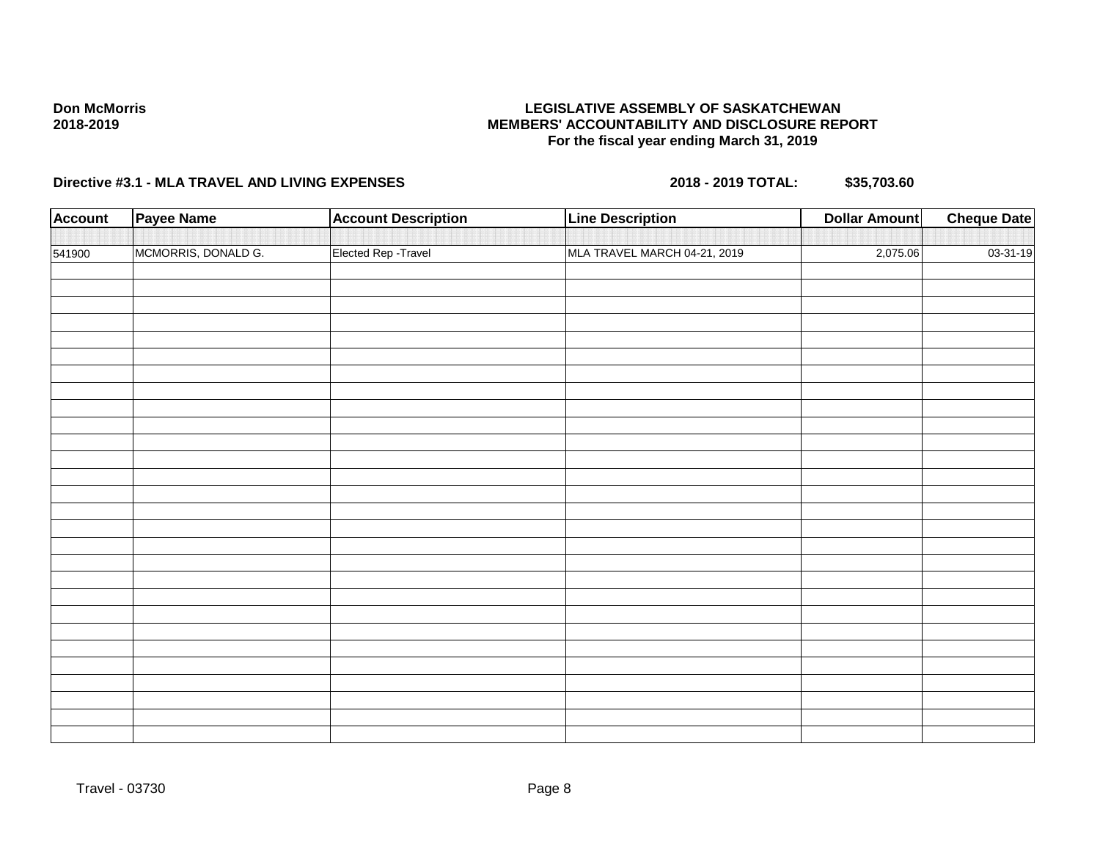# **LEGISLATIVE ASSEMBLY OF SASKATCHEWAN MEMBERS' ACCOUNTABILITY AND DISCLOSURE REPORT For the fiscal year ending March 31, 2019**

| <b>Account</b> | <b>Payee Name</b>   | <b>Account Description</b> | <b>Line Description</b>      | <b>Dollar Amount</b> | <b>Cheque Date</b> |
|----------------|---------------------|----------------------------|------------------------------|----------------------|--------------------|
|                |                     |                            |                              |                      |                    |
| 541900         | MCMORRIS, DONALD G. | Elected Rep - Travel       | MLA TRAVEL MARCH 04-21, 2019 | 2,075.06             | 03-31-19           |
|                |                     |                            |                              |                      |                    |
|                |                     |                            |                              |                      |                    |
|                |                     |                            |                              |                      |                    |
|                |                     |                            |                              |                      |                    |
|                |                     |                            |                              |                      |                    |
|                |                     |                            |                              |                      |                    |
|                |                     |                            |                              |                      |                    |
|                |                     |                            |                              |                      |                    |
|                |                     |                            |                              |                      |                    |
|                |                     |                            |                              |                      |                    |
|                |                     |                            |                              |                      |                    |
|                |                     |                            |                              |                      |                    |
|                |                     |                            |                              |                      |                    |
|                |                     |                            |                              |                      |                    |
|                |                     |                            |                              |                      |                    |
|                |                     |                            |                              |                      |                    |
|                |                     |                            |                              |                      |                    |
|                |                     |                            |                              |                      |                    |
|                |                     |                            |                              |                      |                    |
|                |                     |                            |                              |                      |                    |
|                |                     |                            |                              |                      |                    |
|                |                     |                            |                              |                      |                    |
|                |                     |                            |                              |                      |                    |
|                |                     |                            |                              |                      |                    |
|                |                     |                            |                              |                      |                    |
|                |                     |                            |                              |                      |                    |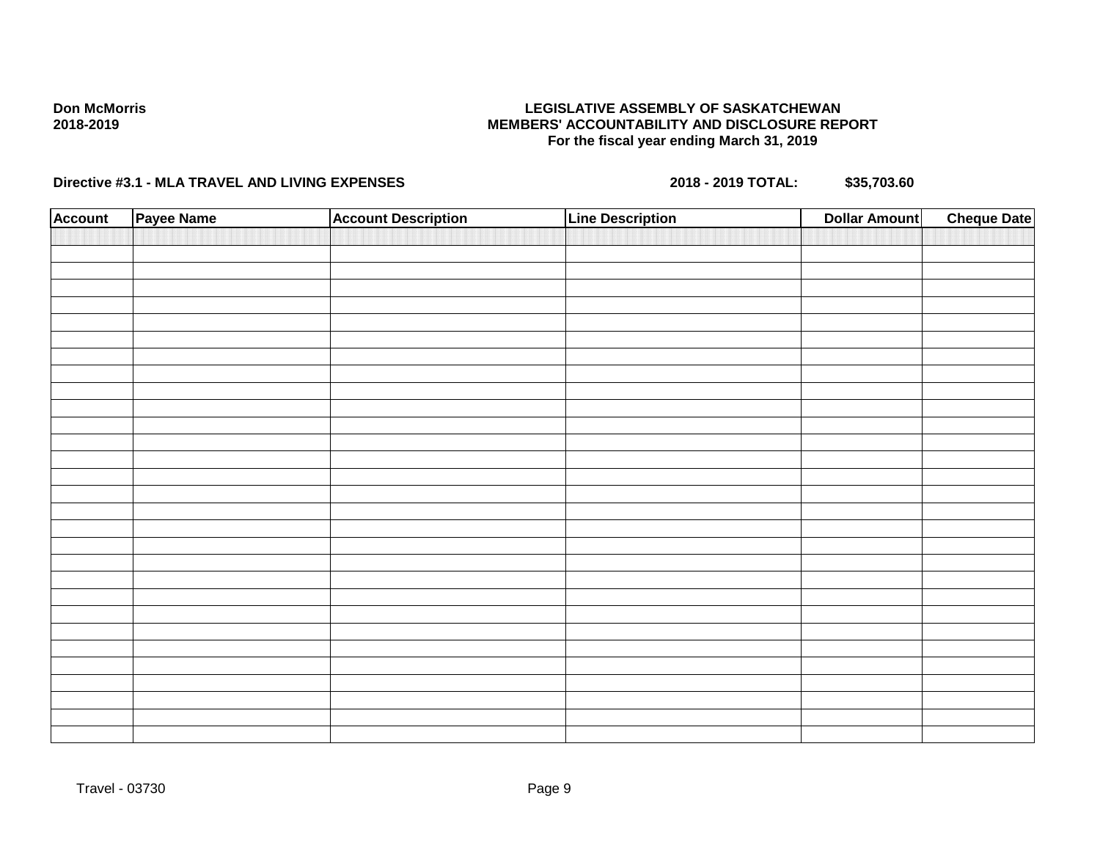## **LEGISLATIVE ASSEMBLY OF SASKATCHEWAN MEMBERS' ACCOUNTABILITY AND DISCLOSURE REPORT For the fiscal year ending March 31, 2019**

| <b>Account</b> | Payee Name | <b>Account Description</b> | <b>Line Description</b> | <b>Dollar Amount</b> | <b>Cheque Date</b> |
|----------------|------------|----------------------------|-------------------------|----------------------|--------------------|
|                |            |                            |                         |                      |                    |
|                |            |                            |                         |                      |                    |
|                |            |                            |                         |                      |                    |
|                |            |                            |                         |                      |                    |
|                |            |                            |                         |                      |                    |
|                |            |                            |                         |                      |                    |
|                |            |                            |                         |                      |                    |
|                |            |                            |                         |                      |                    |
|                |            |                            |                         |                      |                    |
|                |            |                            |                         |                      |                    |
|                |            |                            |                         |                      |                    |
|                |            |                            |                         |                      |                    |
|                |            |                            |                         |                      |                    |
|                |            |                            |                         |                      |                    |
|                |            |                            |                         |                      |                    |
|                |            |                            |                         |                      |                    |
|                |            |                            |                         |                      |                    |
|                |            |                            |                         |                      |                    |
|                |            |                            |                         |                      |                    |
|                |            |                            |                         |                      |                    |
|                |            |                            |                         |                      |                    |
|                |            |                            |                         |                      |                    |
|                |            |                            |                         |                      |                    |
|                |            |                            |                         |                      |                    |
|                |            |                            |                         |                      |                    |
|                |            |                            |                         |                      |                    |
|                |            |                            |                         |                      |                    |
|                |            |                            |                         |                      |                    |
|                |            |                            |                         |                      |                    |
|                |            |                            |                         |                      |                    |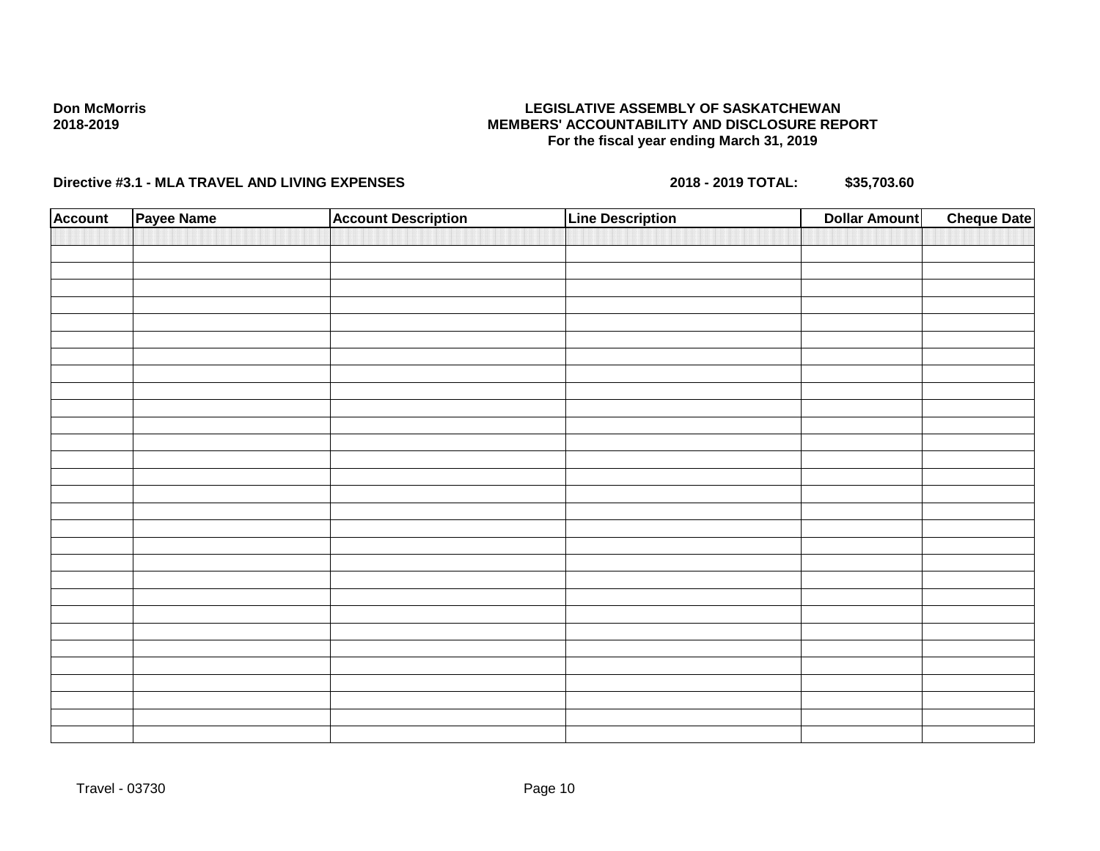## **LEGISLATIVE ASSEMBLY OF SASKATCHEWAN MEMBERS' ACCOUNTABILITY AND DISCLOSURE REPORT For the fiscal year ending March 31, 2019**

| <b>Account</b> | Payee Name | <b>Account Description</b> | <b>Line Description</b> | <b>Dollar Amount</b> | <b>Cheque Date</b> |
|----------------|------------|----------------------------|-------------------------|----------------------|--------------------|
|                |            |                            |                         |                      |                    |
|                |            |                            |                         |                      |                    |
|                |            |                            |                         |                      |                    |
|                |            |                            |                         |                      |                    |
|                |            |                            |                         |                      |                    |
|                |            |                            |                         |                      |                    |
|                |            |                            |                         |                      |                    |
|                |            |                            |                         |                      |                    |
|                |            |                            |                         |                      |                    |
|                |            |                            |                         |                      |                    |
|                |            |                            |                         |                      |                    |
|                |            |                            |                         |                      |                    |
|                |            |                            |                         |                      |                    |
|                |            |                            |                         |                      |                    |
|                |            |                            |                         |                      |                    |
|                |            |                            |                         |                      |                    |
|                |            |                            |                         |                      |                    |
|                |            |                            |                         |                      |                    |
|                |            |                            |                         |                      |                    |
|                |            |                            |                         |                      |                    |
|                |            |                            |                         |                      |                    |
|                |            |                            |                         |                      |                    |
|                |            |                            |                         |                      |                    |
|                |            |                            |                         |                      |                    |
|                |            |                            |                         |                      |                    |
|                |            |                            |                         |                      |                    |
|                |            |                            |                         |                      |                    |
|                |            |                            |                         |                      |                    |
|                |            |                            |                         |                      |                    |
|                |            |                            |                         |                      |                    |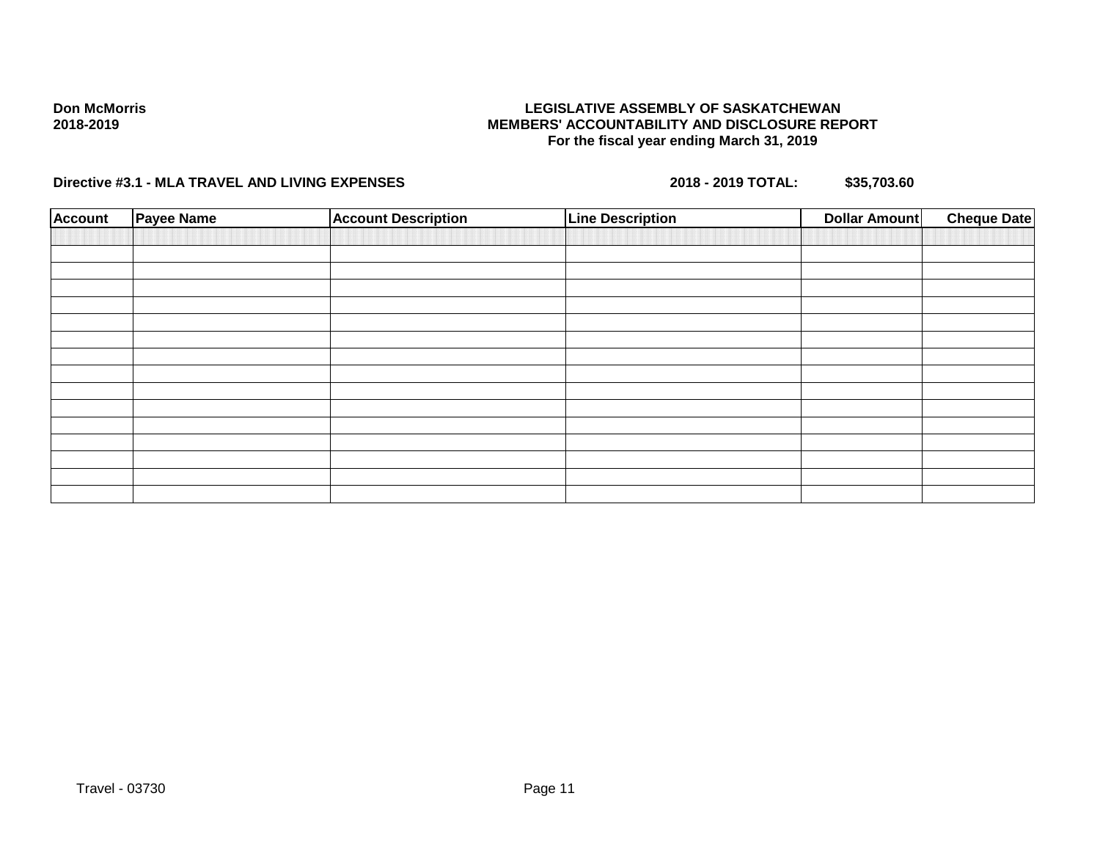## **LEGISLATIVE ASSEMBLY OF SASKATCHEWAN MEMBERS' ACCOUNTABILITY AND DISCLOSURE REPORT For the fiscal year ending March 31, 2019**

| <b>Account</b> | Payee Name | <b>Account Description</b> | <b>Line Description</b> | <b>Dollar Amount</b> | <b>Cheque Date</b> |
|----------------|------------|----------------------------|-------------------------|----------------------|--------------------|
|                |            |                            |                         |                      |                    |
|                |            |                            |                         |                      |                    |
|                |            |                            |                         |                      |                    |
|                |            |                            |                         |                      |                    |
|                |            |                            |                         |                      |                    |
|                |            |                            |                         |                      |                    |
|                |            |                            |                         |                      |                    |
|                |            |                            |                         |                      |                    |
|                |            |                            |                         |                      |                    |
|                |            |                            |                         |                      |                    |
|                |            |                            |                         |                      |                    |
|                |            |                            |                         |                      |                    |
|                |            |                            |                         |                      |                    |
|                |            |                            |                         |                      |                    |
|                |            |                            |                         |                      |                    |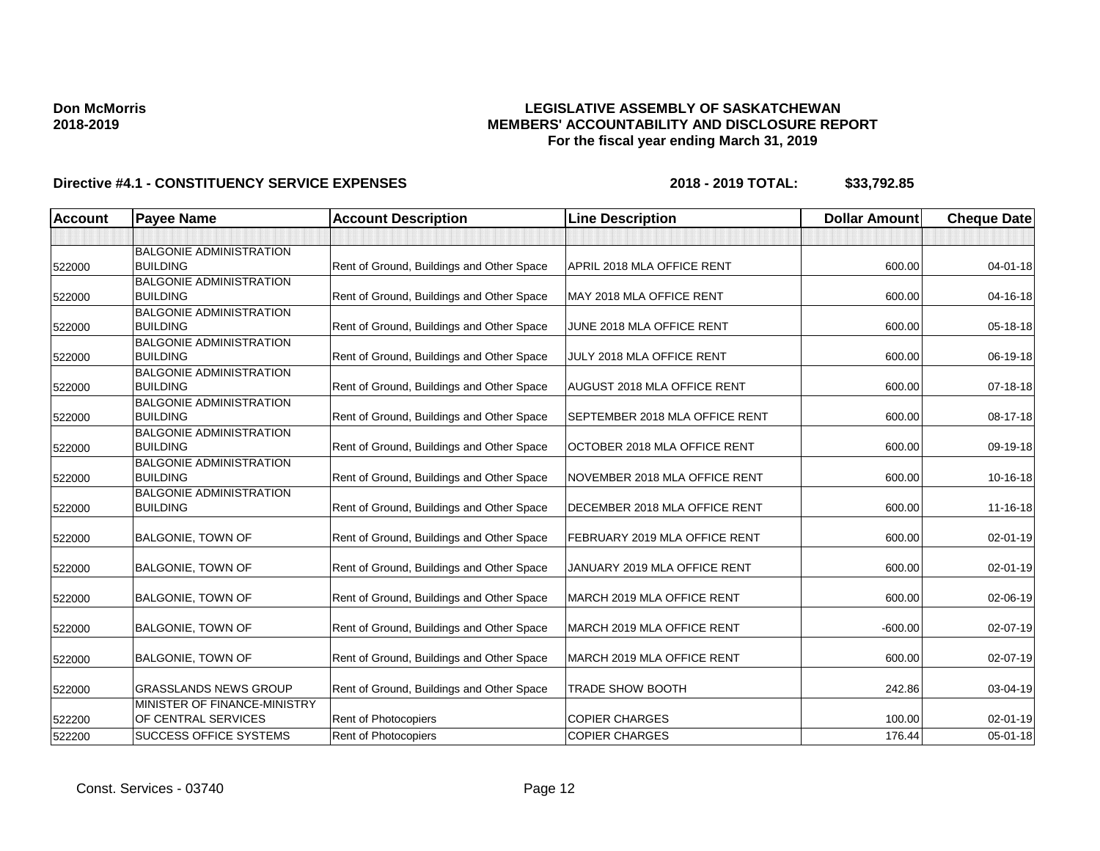## **LEGISLATIVE ASSEMBLY OF SASKATCHEWAN MEMBERS' ACCOUNTABILITY AND DISCLOSURE REPORT For the fiscal year ending March 31, 2019**

| <b>Account</b> | <b>Payee Name</b>                                   | <b>Account Description</b>                | <b>Line Description</b>            | <b>Dollar Amount</b> | <b>Cheque Date</b> |
|----------------|-----------------------------------------------------|-------------------------------------------|------------------------------------|----------------------|--------------------|
|                |                                                     |                                           |                                    |                      |                    |
| 522000         | <b>BALGONIE ADMINISTRATION</b><br><b>BUILDING</b>   | Rent of Ground, Buildings and Other Space | APRIL 2018 MLA OFFICE RENT         | 600.00               | $04 - 01 - 18$     |
| 522000         | <b>BALGONIE ADMINISTRATION</b><br><b>BUILDING</b>   | Rent of Ground, Buildings and Other Space | MAY 2018 MLA OFFICE RENT           | 600.00               | 04-16-18           |
| 522000         | <b>BALGONIE ADMINISTRATION</b><br><b>BUILDING</b>   | Rent of Ground, Buildings and Other Space | JUNE 2018 MLA OFFICE RENT          | 600.00               | 05-18-18           |
| 522000         | <b>BALGONIE ADMINISTRATION</b><br><b>BUILDING</b>   | Rent of Ground, Buildings and Other Space | JULY 2018 MLA OFFICE RENT          | 600.00               | 06-19-18           |
| 522000         | <b>BALGONIE ADMINISTRATION</b><br><b>BUILDING</b>   | Rent of Ground, Buildings and Other Space | <b>AUGUST 2018 MLA OFFICE RENT</b> | 600.00               | 07-18-18           |
| 522000         | <b>BALGONIE ADMINISTRATION</b><br><b>BUILDING</b>   | Rent of Ground, Buildings and Other Space | SEPTEMBER 2018 MLA OFFICE RENT     | 600.00               | 08-17-18           |
| 522000         | <b>BALGONIE ADMINISTRATION</b><br><b>BUILDING</b>   | Rent of Ground, Buildings and Other Space | OCTOBER 2018 MLA OFFICE RENT       | 600.00               | 09-19-18           |
| 522000         | <b>BALGONIE ADMINISTRATION</b><br><b>BUILDING</b>   | Rent of Ground, Buildings and Other Space | NOVEMBER 2018 MLA OFFICE RENT      | 600.00               | 10-16-18           |
| 522000         | <b>BALGONIE ADMINISTRATION</b><br><b>BUILDING</b>   | Rent of Ground, Buildings and Other Space | DECEMBER 2018 MLA OFFICE RENT      | 600.00               | 11-16-18           |
| 522000         | <b>BALGONIE, TOWN OF</b>                            | Rent of Ground, Buildings and Other Space | FEBRUARY 2019 MLA OFFICE RENT      | 600.00               | 02-01-19           |
| 522000         | <b>BALGONIE, TOWN OF</b>                            | Rent of Ground, Buildings and Other Space | JANUARY 2019 MLA OFFICE RENT       | 600.00               | 02-01-19           |
| 522000         | <b>BALGONIE, TOWN OF</b>                            | Rent of Ground, Buildings and Other Space | MARCH 2019 MLA OFFICE RENT         | 600.00               | 02-06-19           |
| 522000         | <b>BALGONIE, TOWN OF</b>                            | Rent of Ground, Buildings and Other Space | MARCH 2019 MLA OFFICE RENT         | $-600.00$            | 02-07-19           |
| 522000         | <b>BALGONIE, TOWN OF</b>                            | Rent of Ground, Buildings and Other Space | MARCH 2019 MLA OFFICE RENT         | 600.00               | 02-07-19           |
| 522000         | <b>GRASSLANDS NEWS GROUP</b>                        | Rent of Ground, Buildings and Other Space | <b>TRADE SHOW BOOTH</b>            | 242.86               | 03-04-19           |
| 522200         | MINISTER OF FINANCE-MINISTRY<br>OF CENTRAL SERVICES | Rent of Photocopiers                      | <b>COPIER CHARGES</b>              | 100.00               | $02 - 01 - 19$     |
| 522200         | SUCCESS OFFICE SYSTEMS                              | <b>Rent of Photocopiers</b>               | <b>COPIER CHARGES</b>              | 176.44               | 05-01-18           |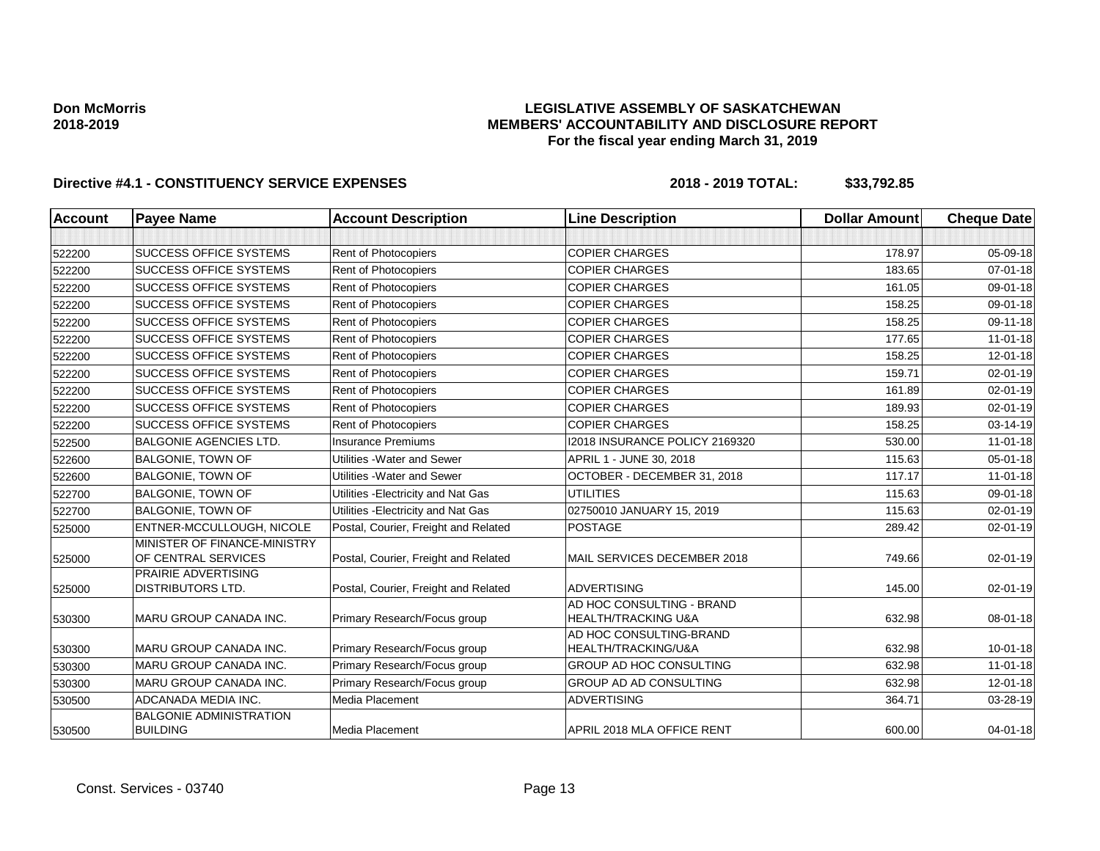## **LEGISLATIVE ASSEMBLY OF SASKATCHEWAN MEMBERS' ACCOUNTABILITY AND DISCLOSURE REPORT For the fiscal year ending March 31, 2019**

| <b>Account</b> | <b>Payee Name</b>                                   | <b>Account Description</b>           | <b>Line Description</b>                                     | <b>Dollar Amount</b> | <b>Cheque Date</b> |
|----------------|-----------------------------------------------------|--------------------------------------|-------------------------------------------------------------|----------------------|--------------------|
|                |                                                     |                                      |                                                             |                      |                    |
| 522200         | <b>SUCCESS OFFICE SYSTEMS</b>                       | Rent of Photocopiers                 | <b>COPIER CHARGES</b>                                       | 178.97               | 05-09-18           |
| 522200         | <b>SUCCESS OFFICE SYSTEMS</b>                       | Rent of Photocopiers                 | <b>COPIER CHARGES</b>                                       | 183.65               | $07 - 01 - 18$     |
| 522200         | <b>SUCCESS OFFICE SYSTEMS</b>                       | Rent of Photocopiers                 | <b>COPIER CHARGES</b>                                       | 161.05               | 09-01-18           |
| 522200         | <b>SUCCESS OFFICE SYSTEMS</b>                       | Rent of Photocopiers                 | <b>COPIER CHARGES</b>                                       | 158.25               | 09-01-18           |
| 522200         | <b>SUCCESS OFFICE SYSTEMS</b>                       | Rent of Photocopiers                 | <b>COPIER CHARGES</b>                                       | 158.25               | 09-11-18           |
| 522200         | <b>SUCCESS OFFICE SYSTEMS</b>                       | Rent of Photocopiers                 | <b>COPIER CHARGES</b>                                       | 177.65               | $11-01-18$         |
| 522200         | <b>SUCCESS OFFICE SYSTEMS</b>                       | Rent of Photocopiers                 | <b>COPIER CHARGES</b>                                       | 158.25               | $12 - 01 - 18$     |
| 522200         | <b>SUCCESS OFFICE SYSTEMS</b>                       | Rent of Photocopiers                 | <b>COPIER CHARGES</b>                                       | 159.71               | 02-01-19           |
| 522200         | <b>SUCCESS OFFICE SYSTEMS</b>                       | Rent of Photocopiers                 | <b>COPIER CHARGES</b>                                       | 161.89               | 02-01-19           |
| 522200         | <b>SUCCESS OFFICE SYSTEMS</b>                       | Rent of Photocopiers                 | <b>COPIER CHARGES</b>                                       | 189.93               | $02 - 01 - 19$     |
| 522200         | <b>SUCCESS OFFICE SYSTEMS</b>                       | Rent of Photocopiers                 | <b>COPIER CHARGES</b>                                       | 158.25               | 03-14-19           |
| 522500         | <b>BALGONIE AGENCIES LTD.</b>                       | <b>Insurance Premiums</b>            | I2018 INSURANCE POLICY 2169320                              | 530.00               | $11-01-18$         |
| 522600         | <b>BALGONIE, TOWN OF</b>                            | Utilities - Water and Sewer          | APRIL 1 - JUNE 30, 2018                                     | 115.63               | 05-01-18           |
| 522600         | <b>BALGONIE, TOWN OF</b>                            | Utilities - Water and Sewer          | OCTOBER - DECEMBER 31, 2018                                 | 117.17               | $11-01-18$         |
| 522700         | <b>BALGONIE, TOWN OF</b>                            | Utilities - Electricity and Nat Gas  | <b>UTILITIES</b>                                            | 115.63               | 09-01-18           |
| 522700         | <b>BALGONIE, TOWN OF</b>                            | Utilities - Electricity and Nat Gas  | 02750010 JANUARY 15, 2019                                   | 115.63               | 02-01-19           |
| 525000         | ENTNER-MCCULLOUGH, NICOLE                           | Postal, Courier, Freight and Related | <b>POSTAGE</b>                                              | 289.42               | 02-01-19           |
| 525000         | MINISTER OF FINANCE-MINISTRY<br>OF CENTRAL SERVICES | Postal, Courier, Freight and Related | MAIL SERVICES DECEMBER 2018                                 | 749.66               | 02-01-19           |
| 525000         | PRAIRIE ADVERTISING<br><b>DISTRIBUTORS LTD.</b>     | Postal, Courier, Freight and Related | <b>ADVERTISING</b>                                          | 145.00               | 02-01-19           |
| 530300         | MARU GROUP CANADA INC.                              | Primary Research/Focus group         | AD HOC CONSULTING - BRAND<br><b>HEALTH/TRACKING U&amp;A</b> | 632.98               | 08-01-18           |
| 530300         | MARU GROUP CANADA INC.                              | Primary Research/Focus group         | AD HOC CONSULTING-BRAND<br>HEALTH/TRACKING/U&A              | 632.98               | $10 - 01 - 18$     |
| 530300         | MARU GROUP CANADA INC.                              | Primary Research/Focus group         | <b>GROUP AD HOC CONSULTING</b>                              | 632.98               | $11 - 01 - 18$     |
| 530300         | MARU GROUP CANADA INC.                              | Primary Research/Focus group         | <b>GROUP AD AD CONSULTING</b>                               | 632.98               | $12 - 01 - 18$     |
| 530500         | ADCANADA MEDIA INC.                                 | Media Placement                      | <b>ADVERTISING</b>                                          | 364.71               | 03-28-19           |
| 530500         | <b>BALGONIE ADMINISTRATION</b><br><b>BUILDING</b>   | Media Placement                      | APRIL 2018 MLA OFFICE RENT                                  | 600.00               | 04-01-18           |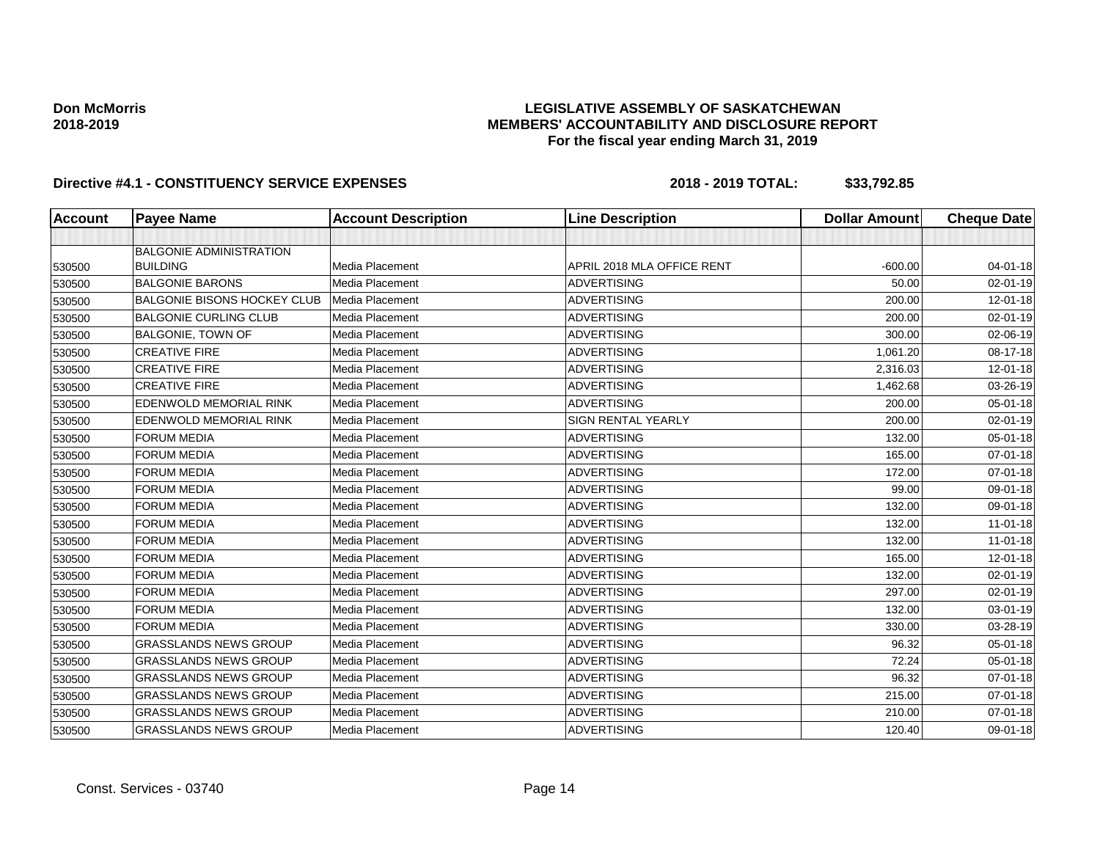## **LEGISLATIVE ASSEMBLY OF SASKATCHEWAN MEMBERS' ACCOUNTABILITY AND DISCLOSURE REPORT For the fiscal year ending March 31, 2019**

| Account | <b>Payee Name</b>                  | <b>Account Description</b> | <b>Line Description</b>    | <b>Dollar Amount</b> | <b>Cheque Date</b> |
|---------|------------------------------------|----------------------------|----------------------------|----------------------|--------------------|
|         |                                    |                            |                            |                      |                    |
|         | <b>BALGONIE ADMINISTRATION</b>     |                            |                            |                      |                    |
| 530500  | <b>BUILDING</b>                    | Media Placement            | APRIL 2018 MLA OFFICE RENT | $-600.00$            | 04-01-18           |
| 530500  | <b>BALGONIE BARONS</b>             | Media Placement            | <b>ADVERTISING</b>         | 50.00                | $02 - 01 - 19$     |
| 530500  | <b>BALGONIE BISONS HOCKEY CLUB</b> | Media Placement            | <b>ADVERTISING</b>         | 200.00               | $12 - 01 - 18$     |
| 530500  | <b>BALGONIE CURLING CLUB</b>       | Media Placement            | <b>ADVERTISING</b>         | 200.00               | $02 - 01 - 19$     |
| 530500  | <b>BALGONIE, TOWN OF</b>           | Media Placement            | <b>ADVERTISING</b>         | 300.00               | 02-06-19           |
| 530500  | <b>CREATIVE FIRE</b>               | Media Placement            | <b>ADVERTISING</b>         | 1,061.20             | 08-17-18           |
| 530500  | <b>CREATIVE FIRE</b>               | Media Placement            | <b>ADVERTISING</b>         | 2,316.03             | $12 - 01 - 18$     |
| 530500  | <b>CREATIVE FIRE</b>               | Media Placement            | <b>ADVERTISING</b>         | 1,462.68             | 03-26-19           |
| 530500  | EDENWOLD MEMORIAL RINK             | Media Placement            | <b>ADVERTISING</b>         | 200.00               | 05-01-18           |
| 530500  | <b>EDENWOLD MEMORIAL RINK</b>      | Media Placement            | <b>SIGN RENTAL YEARLY</b>  | 200.00               | $02 - 01 - 19$     |
| 530500  | <b>FORUM MEDIA</b>                 | Media Placement            | <b>ADVERTISING</b>         | 132.00               | $05 - 01 - 18$     |
| 530500  | <b>FORUM MEDIA</b>                 | Media Placement            | <b>ADVERTISING</b>         | 165.00               | $07 - 01 - 18$     |
| 530500  | <b>FORUM MEDIA</b>                 | Media Placement            | <b>ADVERTISING</b>         | 172.00               | 07-01-18           |
| 530500  | <b>FORUM MEDIA</b>                 | Media Placement            | <b>ADVERTISING</b>         | 99.00                | 09-01-18           |
| 530500  | <b>FORUM MEDIA</b>                 | Media Placement            | <b>ADVERTISING</b>         | 132.00               | 09-01-18           |
| 530500  | <b>FORUM MEDIA</b>                 | Media Placement            | <b>ADVERTISING</b>         | 132.00               | $11 - 01 - 18$     |
| 530500  | <b>FORUM MEDIA</b>                 | Media Placement            | <b>ADVERTISING</b>         | 132.00               | $11 - 01 - 18$     |
| 530500  | <b>FORUM MEDIA</b>                 | Media Placement            | <b>ADVERTISING</b>         | 165.00               | 12-01-18           |
| 530500  | <b>FORUM MEDIA</b>                 | Media Placement            | <b>ADVERTISING</b>         | 132.00               | $02 - 01 - 19$     |
| 530500  | <b>FORUM MEDIA</b>                 | Media Placement            | <b>ADVERTISING</b>         | 297.00               | $02 - 01 - 19$     |
| 530500  | <b>FORUM MEDIA</b>                 | Media Placement            | <b>ADVERTISING</b>         | 132.00               | 03-01-19           |
| 530500  | <b>FORUM MEDIA</b>                 | Media Placement            | <b>ADVERTISING</b>         | 330.00               | 03-28-19           |
| 530500  | <b>GRASSLANDS NEWS GROUP</b>       | Media Placement            | <b>ADVERTISING</b>         | 96.32                | 05-01-18           |
| 530500  | <b>GRASSLANDS NEWS GROUP</b>       | Media Placement            | <b>ADVERTISING</b>         | 72.24                | $05 - 01 - 18$     |
| 530500  | <b>GRASSLANDS NEWS GROUP</b>       | Media Placement            | <b>ADVERTISING</b>         | 96.32                | $07 - 01 - 18$     |
| 530500  | <b>GRASSLANDS NEWS GROUP</b>       | Media Placement            | <b>ADVERTISING</b>         | 215.00               | 07-01-18           |
| 530500  | <b>GRASSLANDS NEWS GROUP</b>       | Media Placement            | <b>ADVERTISING</b>         | 210.00               | 07-01-18           |
| 530500  | <b>GRASSLANDS NEWS GROUP</b>       | Media Placement            | <b>ADVERTISING</b>         | 120.40               | 09-01-18           |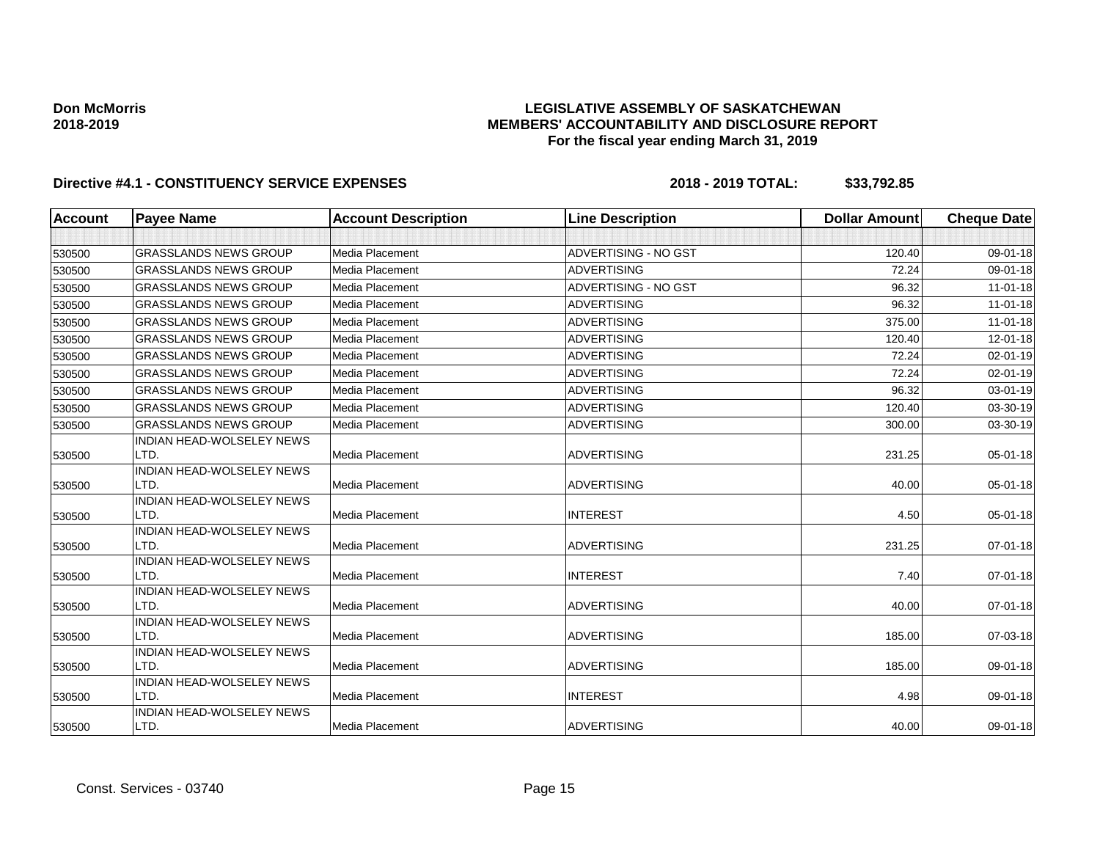## **LEGISLATIVE ASSEMBLY OF SASKATCHEWAN MEMBERS' ACCOUNTABILITY AND DISCLOSURE REPORT For the fiscal year ending March 31, 2019**

| Account | <b>Payee Name</b>                        | <b>Account Description</b> | <b>Line Description</b> | <b>Dollar Amount</b> | <b>Cheque Date</b> |
|---------|------------------------------------------|----------------------------|-------------------------|----------------------|--------------------|
|         |                                          |                            |                         |                      |                    |
| 530500  | <b>GRASSLANDS NEWS GROUP</b>             | Media Placement            | ADVERTISING - NO GST    | 120.40               | 09-01-18           |
| 530500  | <b>GRASSLANDS NEWS GROUP</b>             | <b>Media Placement</b>     | <b>ADVERTISING</b>      | 72.24                | 09-01-18           |
| 530500  | <b>GRASSLANDS NEWS GROUP</b>             | Media Placement            | ADVERTISING - NO GST    | 96.32                | $11-01-18$         |
| 530500  | <b>GRASSLANDS NEWS GROUP</b>             | Media Placement            | <b>ADVERTISING</b>      | 96.32                | $11-01-18$         |
| 530500  | <b>GRASSLANDS NEWS GROUP</b>             | Media Placement            | <b>ADVERTISING</b>      | 375.00               | $11-01-18$         |
| 530500  | <b>GRASSLANDS NEWS GROUP</b>             | Media Placement            | <b>ADVERTISING</b>      | 120.40               | 12-01-18           |
| 530500  | <b>GRASSLANDS NEWS GROUP</b>             | Media Placement            | <b>ADVERTISING</b>      | 72.24                | $02 - 01 - 19$     |
| 530500  | <b>GRASSLANDS NEWS GROUP</b>             | Media Placement            | <b>ADVERTISING</b>      | 72.24                | 02-01-19           |
| 530500  | <b>GRASSLANDS NEWS GROUP</b>             | Media Placement            | <b>ADVERTISING</b>      | 96.32                | 03-01-19           |
| 530500  | <b>GRASSLANDS NEWS GROUP</b>             | Media Placement            | <b>ADVERTISING</b>      | 120.40               | 03-30-19           |
| 530500  | <b>GRASSLANDS NEWS GROUP</b>             | Media Placement            | <b>ADVERTISING</b>      | 300.00               | 03-30-19           |
|         | INDIAN HEAD-WOLSELEY NEWS                |                            |                         |                      |                    |
| 530500  | LTD.                                     | Media Placement            | <b>ADVERTISING</b>      | 231.25               | 05-01-18           |
|         | <b>INDIAN HEAD-WOLSELEY NEWS</b>         |                            |                         |                      |                    |
| 530500  | LTD.                                     | Media Placement            | <b>ADVERTISING</b>      | 40.00                | $05 - 01 - 18$     |
|         | <b>INDIAN HEAD-WOLSELEY NEWS</b><br>LTD. | Media Placement            | <b>INTEREST</b>         | 4.50                 | $05 - 01 - 18$     |
| 530500  | <b>INDIAN HEAD-WOLSELEY NEWS</b>         |                            |                         |                      |                    |
| 530500  | LTD.                                     | Media Placement            | <b>ADVERTISING</b>      | 231.25               | $07 - 01 - 18$     |
|         | <b>INDIAN HEAD-WOLSELEY NEWS</b>         |                            |                         |                      |                    |
| 530500  | LTD.                                     | Media Placement            | <b>INTEREST</b>         | 7.40                 | $07 - 01 - 18$     |
|         | <b>INDIAN HEAD-WOLSELEY NEWS</b>         |                            |                         |                      |                    |
| 530500  | LTD.                                     | Media Placement            | <b>ADVERTISING</b>      | 40.00                | $07 - 01 - 18$     |
|         | <b>INDIAN HEAD-WOLSELEY NEWS</b>         |                            |                         |                      |                    |
| 530500  | LTD.                                     | Media Placement            | <b>ADVERTISING</b>      | 185.00               | 07-03-18           |
|         | <b>INDIAN HEAD-WOLSELEY NEWS</b><br>LTD. | Media Placement            | <b>ADVERTISING</b>      | 185.00               | 09-01-18           |
| 530500  | INDIAN HEAD-WOLSELEY NEWS                |                            |                         |                      |                    |
| 530500  | LTD.                                     | Media Placement            | <b>INTEREST</b>         | 4.98                 | 09-01-18           |
|         | INDIAN HEAD-WOLSELEY NEWS                |                            |                         |                      |                    |
| 530500  | LTD.                                     | Media Placement            | <b>ADVERTISING</b>      | 40.00                | 09-01-18           |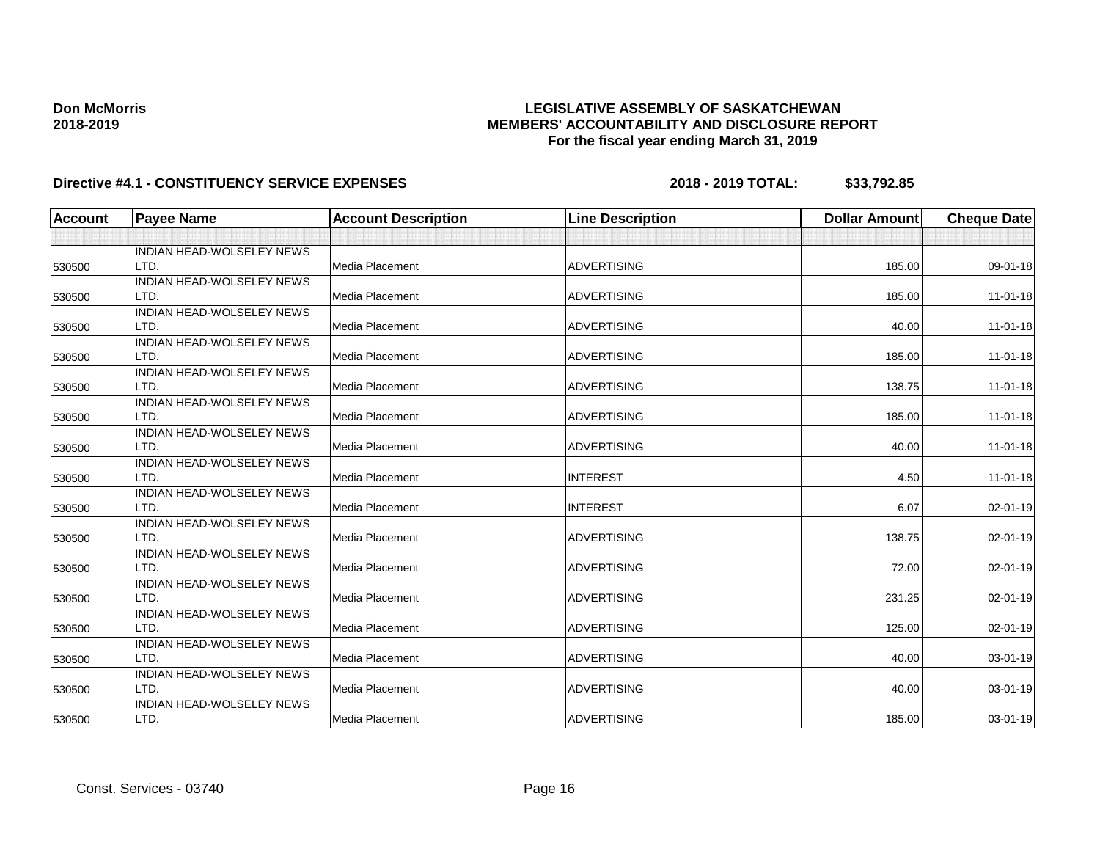## **LEGISLATIVE ASSEMBLY OF SASKATCHEWAN MEMBERS' ACCOUNTABILITY AND DISCLOSURE REPORT For the fiscal year ending March 31, 2019**

| <b>Account</b> | <b>Payee Name</b>                | <b>Account Description</b> | <b>Line Description</b> | <b>Dollar Amount</b> | <b>Cheque Date</b> |
|----------------|----------------------------------|----------------------------|-------------------------|----------------------|--------------------|
|                |                                  |                            |                         |                      |                    |
|                | <b>INDIAN HEAD-WOLSELEY NEWS</b> |                            |                         |                      |                    |
| 530500         | LTD.                             | Media Placement            | <b>ADVERTISING</b>      | 185.00               | 09-01-18           |
|                | <b>INDIAN HEAD-WOLSELEY NEWS</b> |                            |                         |                      |                    |
| 530500         | LTD.                             | Media Placement            | <b>ADVERTISING</b>      | 185.00               | $11 - 01 - 18$     |
|                | <b>INDIAN HEAD-WOLSELEY NEWS</b> |                            |                         |                      |                    |
| 530500         | LTD.                             | Media Placement            | <b>ADVERTISING</b>      | 40.00                | $11 - 01 - 18$     |
|                | <b>INDIAN HEAD-WOLSELEY NEWS</b> |                            |                         |                      |                    |
| 530500         | LTD.                             | Media Placement            | <b>ADVERTISING</b>      | 185.00               | $11-01-18$         |
|                | <b>INDIAN HEAD-WOLSELEY NEWS</b> |                            |                         |                      |                    |
| 530500         | LTD.                             | Media Placement            | <b>ADVERTISING</b>      | 138.75               | $11 - 01 - 18$     |
|                | <b>INDIAN HEAD-WOLSELEY NEWS</b> |                            |                         |                      |                    |
| 530500         | LTD.                             | Media Placement            | <b>ADVERTISING</b>      | 185.00               | $11 - 01 - 18$     |
|                | <b>INDIAN HEAD-WOLSELEY NEWS</b> |                            |                         |                      |                    |
| 530500         | LTD.                             | Media Placement            | <b>ADVERTISING</b>      | 40.00                | $11-01-18$         |
|                | INDIAN HEAD-WOLSELEY NEWS        |                            |                         |                      |                    |
| 530500         | LTD.                             | Media Placement            | <b>INTEREST</b>         | 4.50                 | 11-01-18           |
|                | <b>INDIAN HEAD-WOLSELEY NEWS</b> |                            |                         |                      |                    |
| 530500         | LTD.                             | Media Placement            | <b>INTEREST</b>         | 6.07                 | 02-01-19           |
|                | <b>INDIAN HEAD-WOLSELEY NEWS</b> |                            |                         |                      |                    |
| 530500         | LTD.                             | Media Placement            | <b>ADVERTISING</b>      | 138.75               | $02 - 01 - 19$     |
|                | <b>INDIAN HEAD-WOLSELEY NEWS</b> |                            |                         |                      |                    |
| 530500         | LTD.                             | Media Placement            | <b>ADVERTISING</b>      | 72.00                | 02-01-19           |
|                | <b>INDIAN HEAD-WOLSELEY NEWS</b> |                            |                         |                      |                    |
| 530500         | LTD.                             | Media Placement            | <b>ADVERTISING</b>      | 231.25               | $02 - 01 - 19$     |
|                | <b>INDIAN HEAD-WOLSELEY NEWS</b> |                            |                         |                      |                    |
| 530500         | LTD.                             | Media Placement            | <b>ADVERTISING</b>      | 125.00               | 02-01-19           |
|                | INDIAN HEAD-WOLSELEY NEWS        |                            |                         |                      |                    |
| 530500         | LTD.                             | Media Placement            | <b>ADVERTISING</b>      | 40.00                | 03-01-19           |
|                | INDIAN HEAD-WOLSELEY NEWS        |                            |                         |                      |                    |
| 530500         | LTD.                             | Media Placement            | <b>ADVERTISING</b>      | 40.00                | 03-01-19           |
|                | <b>INDIAN HEAD-WOLSELEY NEWS</b> |                            |                         |                      |                    |
| 530500         | LTD.                             | Media Placement            | <b>ADVERTISING</b>      | 185.00               | 03-01-19           |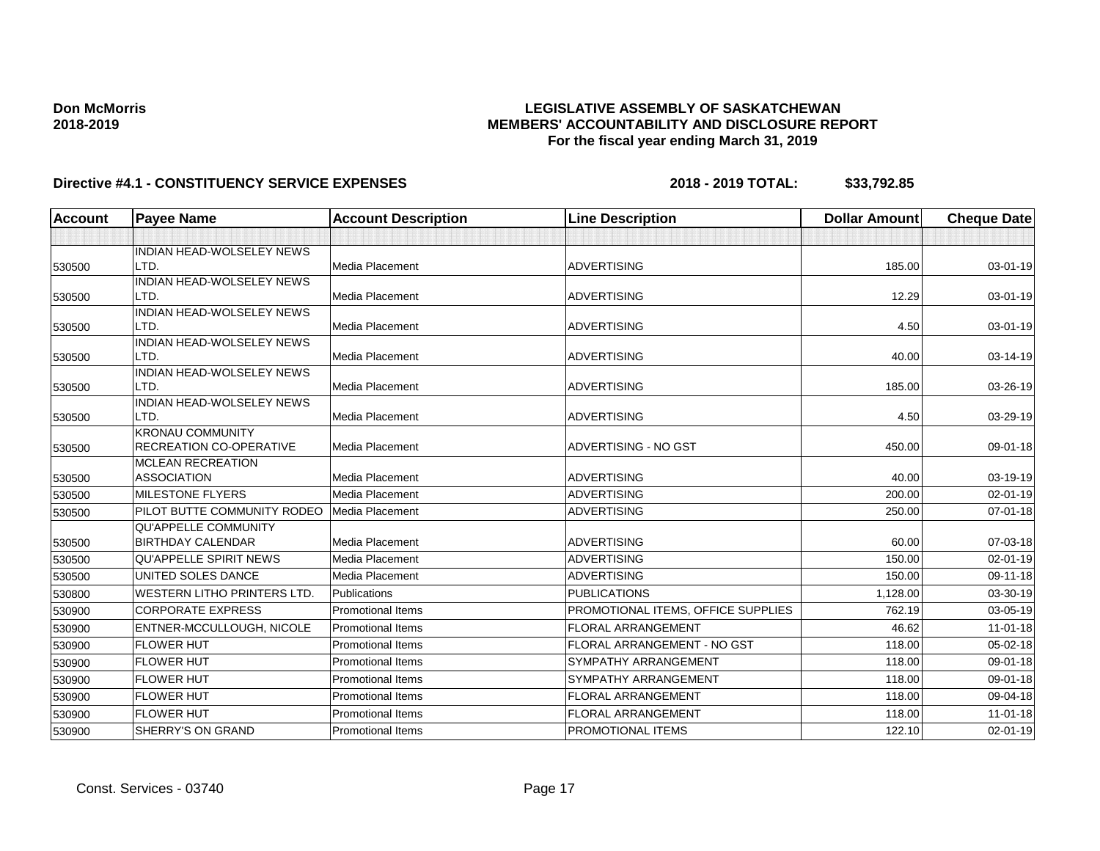## **LEGISLATIVE ASSEMBLY OF SASKATCHEWAN MEMBERS' ACCOUNTABILITY AND DISCLOSURE REPORT For the fiscal year ending March 31, 2019**

| Account | <b>Payee Name</b>                  | <b>Account Description</b> | <b>Line Description</b>            | <b>Dollar Amount</b> | <b>Cheque Date</b> |
|---------|------------------------------------|----------------------------|------------------------------------|----------------------|--------------------|
|         |                                    |                            |                                    |                      |                    |
|         | INDIAN HEAD-WOLSELEY NEWS          |                            |                                    |                      |                    |
| 530500  | LTD.                               | Media Placement            | <b>ADVERTISING</b>                 | 185.00               | 03-01-19           |
|         | INDIAN HEAD-WOLSELEY NEWS          |                            |                                    |                      |                    |
| 530500  | LTD.                               | <b>Media Placement</b>     | <b>ADVERTISING</b>                 | 12.29                | 03-01-19           |
|         | INDIAN HEAD-WOLSELEY NEWS          |                            |                                    |                      |                    |
| 530500  | LTD.<br>INDIAN HEAD-WOLSELEY NEWS  | Media Placement            | <b>ADVERTISING</b>                 | 4.50                 | 03-01-19           |
| 530500  | LTD.                               | Media Placement            | <b>ADVERTISING</b>                 | 40.00                | 03-14-19           |
|         | INDIAN HEAD-WOLSELEY NEWS          |                            |                                    |                      |                    |
| 530500  | LTD.                               | <b>Media Placement</b>     | <b>ADVERTISING</b>                 | 185.00               | 03-26-19           |
|         | <b>INDIAN HEAD-WOLSELEY NEWS</b>   |                            |                                    |                      |                    |
| 530500  | LTD.                               | Media Placement            | <b>ADVERTISING</b>                 | 4.50                 | 03-29-19           |
|         | <b>KRONAU COMMUNITY</b>            |                            |                                    |                      |                    |
| 530500  | <b>RECREATION CO-OPERATIVE</b>     | <b>Media Placement</b>     | ADVERTISING - NO GST               | 450.00               | 09-01-18           |
|         | <b>MCLEAN RECREATION</b>           |                            |                                    |                      |                    |
| 530500  | <b>ASSOCIATION</b>                 | Media Placement            | <b>ADVERTISING</b>                 | 40.00                | 03-19-19           |
| 530500  | <b>MILESTONE FLYERS</b>            | Media Placement            | <b>ADVERTISING</b>                 | 200.00               | 02-01-19           |
| 530500  | PILOT BUTTE COMMUNITY RODEO        | Media Placement            | <b>ADVERTISING</b>                 | 250.00               | $07 - 01 - 18$     |
|         | <b>QU'APPELLE COMMUNITY</b>        |                            |                                    |                      |                    |
| 530500  | <b>BIRTHDAY CALENDAR</b>           | Media Placement            | <b>ADVERTISING</b>                 | 60.00                | 07-03-18           |
| 530500  | <b>QU'APPELLE SPIRIT NEWS</b>      | <b>Media Placement</b>     | <b>ADVERTISING</b>                 | 150.00               | $02 - 01 - 19$     |
| 530500  | UNITED SOLES DANCE                 | Media Placement            | <b>ADVERTISING</b>                 | 150.00               | 09-11-18           |
| 530800  | <b>WESTERN LITHO PRINTERS LTD.</b> | Publications               | <b>PUBLICATIONS</b>                | 1,128.00             | 03-30-19           |
| 530900  | <b>CORPORATE EXPRESS</b>           | <b>Promotional Items</b>   | PROMOTIONAL ITEMS, OFFICE SUPPLIES | 762.19               | 03-05-19           |
| 530900  | ENTNER-MCCULLOUGH, NICOLE          | <b>Promotional Items</b>   | <b>FLORAL ARRANGEMENT</b>          | 46.62                | $11-01-18$         |
| 530900  | <b>FLOWER HUT</b>                  | <b>Promotional Items</b>   | <b>FLORAL ARRANGEMENT - NO GST</b> | 118.00               | 05-02-18           |
| 530900  | <b>FLOWER HUT</b>                  | <b>Promotional Items</b>   | SYMPATHY ARRANGEMENT               | 118.00               | 09-01-18           |
| 530900  | <b>FLOWER HUT</b>                  | <b>Promotional Items</b>   | SYMPATHY ARRANGEMENT               | 118.00               | 09-01-18           |
| 530900  | <b>FLOWER HUT</b>                  | <b>Promotional Items</b>   | <b>FLORAL ARRANGEMENT</b>          | 118.00               | 09-04-18           |
| 530900  | <b>FLOWER HUT</b>                  | <b>Promotional Items</b>   | <b>FLORAL ARRANGEMENT</b>          | 118.00               | $11-01-18$         |
| 530900  | SHERRY'S ON GRAND                  | <b>Promotional Items</b>   | <b>PROMOTIONAL ITEMS</b>           | 122.10               | $02 - 01 - 19$     |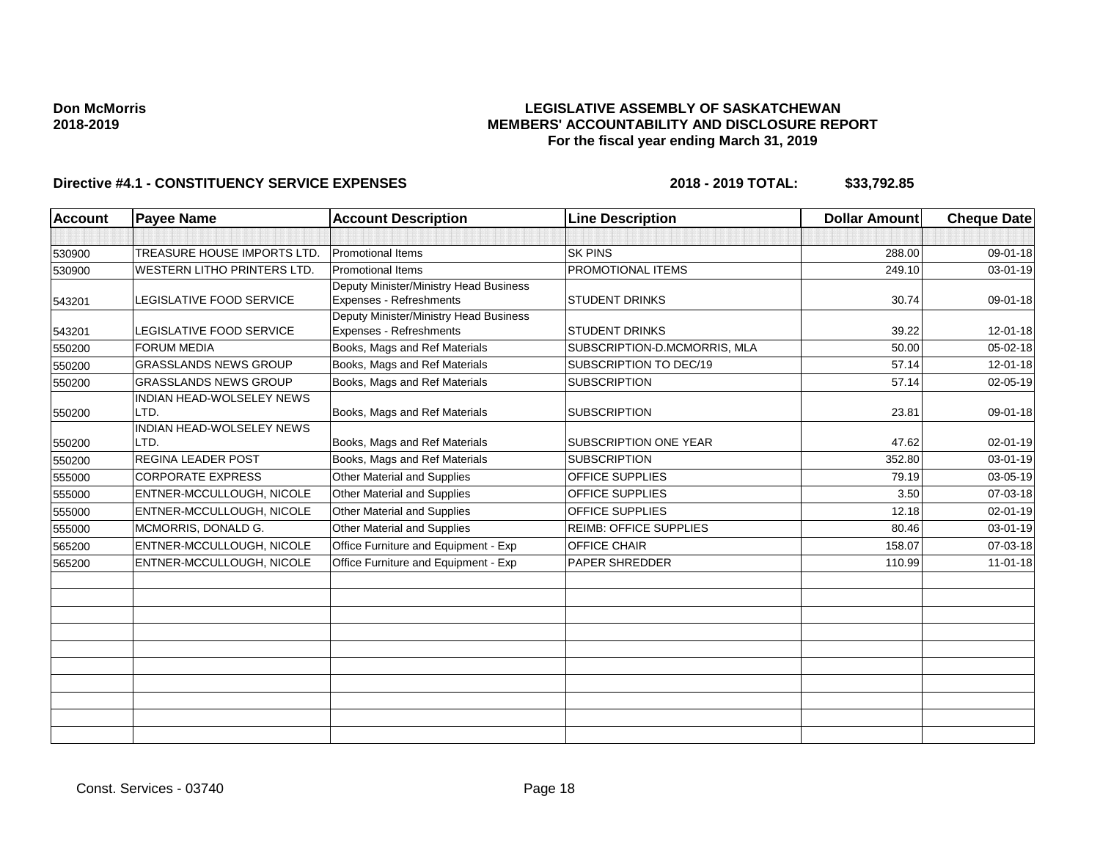## **LEGISLATIVE ASSEMBLY OF SASKATCHEWAN MEMBERS' ACCOUNTABILITY AND DISCLOSURE REPORT For the fiscal year ending March 31, 2019**

| <b>Account</b> | <b>Payee Name</b>            | <b>Account Description</b>                                        | <b>Line Description</b>       | <b>Dollar Amount</b> | <b>Cheque Date</b> |
|----------------|------------------------------|-------------------------------------------------------------------|-------------------------------|----------------------|--------------------|
|                |                              |                                                                   |                               |                      |                    |
| 530900         | TREASURE HOUSE IMPORTS LTD.  | Promotional Items                                                 | <b>SK PINS</b>                | 288.00               | 09-01-18           |
| 530900         | WESTERN LITHO PRINTERS LTD.  | <b>Promotional Items</b>                                          | PROMOTIONAL ITEMS             | 249.10               | 03-01-19           |
|                |                              | Deputy Minister/Ministry Head Business                            |                               |                      |                    |
| 543201         | LEGISLATIVE FOOD SERVICE     | Expenses - Refreshments                                           | <b>STUDENT DRINKS</b>         | 30.74                | 09-01-18           |
| 543201         | LEGISLATIVE FOOD SERVICE     | Deputy Minister/Ministry Head Business<br>Expenses - Refreshments | <b>STUDENT DRINKS</b>         | 39.22                | 12-01-18           |
| 550200         | <b>FORUM MEDIA</b>           | Books, Mags and Ref Materials                                     | SUBSCRIPTION-D.MCMORRIS, MLA  | 50.00                | 05-02-18           |
| 550200         | <b>GRASSLANDS NEWS GROUP</b> | Books, Mags and Ref Materials                                     | SUBSCRIPTION TO DEC/19        | 57.14                | $12 - 01 - 18$     |
| 550200         | <b>GRASSLANDS NEWS GROUP</b> | Books, Mags and Ref Materials                                     | <b>SUBSCRIPTION</b>           | 57.14                | 02-05-19           |
|                | INDIAN HEAD-WOLSELEY NEWS    |                                                                   |                               |                      |                    |
| 550200         | LTD.                         | Books, Mags and Ref Materials                                     | <b>SUBSCRIPTION</b>           | 23.81                | 09-01-18           |
|                | INDIAN HEAD-WOLSELEY NEWS    |                                                                   |                               |                      |                    |
| 550200         | LTD.                         | Books, Mags and Ref Materials                                     | <b>SUBSCRIPTION ONE YEAR</b>  | 47.62                | 02-01-19           |
| 550200         | REGINA LEADER POST           | Books, Mags and Ref Materials                                     | <b>SUBSCRIPTION</b>           | 352.80               | 03-01-19           |
| 555000         | <b>CORPORATE EXPRESS</b>     | Other Material and Supplies                                       | OFFICE SUPPLIES               | 79.19                | 03-05-19           |
| 555000         | ENTNER-MCCULLOUGH, NICOLE    | Other Material and Supplies                                       | OFFICE SUPPLIES               | 3.50                 | 07-03-18           |
| 555000         | ENTNER-MCCULLOUGH, NICOLE    | Other Material and Supplies                                       | OFFICE SUPPLIES               | 12.18                | 02-01-19           |
| 555000         | MCMORRIS, DONALD G.          | Other Material and Supplies                                       | <b>REIMB: OFFICE SUPPLIES</b> | 80.46                | 03-01-19           |
| 565200         | ENTNER-MCCULLOUGH, NICOLE    | Office Furniture and Equipment - Exp                              | <b>OFFICE CHAIR</b>           | 158.07               | 07-03-18           |
| 565200         | ENTNER-MCCULLOUGH, NICOLE    | Office Furniture and Equipment - Exp                              | <b>PAPER SHREDDER</b>         | 110.99               | $11 - 01 - 18$     |
|                |                              |                                                                   |                               |                      |                    |
|                |                              |                                                                   |                               |                      |                    |
|                |                              |                                                                   |                               |                      |                    |
|                |                              |                                                                   |                               |                      |                    |
|                |                              |                                                                   |                               |                      |                    |
|                |                              |                                                                   |                               |                      |                    |
|                |                              |                                                                   |                               |                      |                    |
|                |                              |                                                                   |                               |                      |                    |
|                |                              |                                                                   |                               |                      |                    |
|                |                              |                                                                   |                               |                      |                    |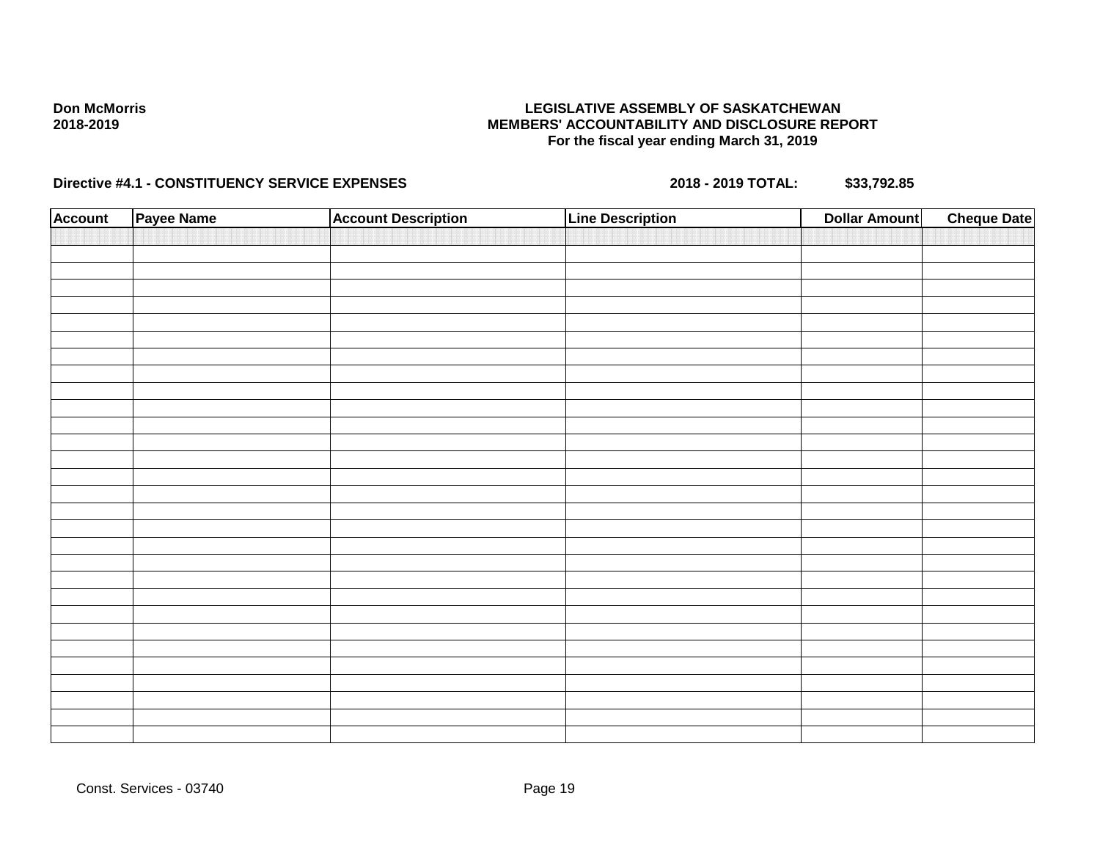## **LEGISLATIVE ASSEMBLY OF SASKATCHEWAN MEMBERS' ACCOUNTABILITY AND DISCLOSURE REPORT For the fiscal year ending March 31, 2019**

| <b>Account</b> | Payee Name | <b>Account Description</b> | <b>Line Description</b> | <b>Dollar Amount</b> | <b>Cheque Date</b> |
|----------------|------------|----------------------------|-------------------------|----------------------|--------------------|
|                |            |                            |                         |                      |                    |
|                |            |                            |                         |                      |                    |
|                |            |                            |                         |                      |                    |
|                |            |                            |                         |                      |                    |
|                |            |                            |                         |                      |                    |
|                |            |                            |                         |                      |                    |
|                |            |                            |                         |                      |                    |
|                |            |                            |                         |                      |                    |
|                |            |                            |                         |                      |                    |
|                |            |                            |                         |                      |                    |
|                |            |                            |                         |                      |                    |
|                |            |                            |                         |                      |                    |
|                |            |                            |                         |                      |                    |
|                |            |                            |                         |                      |                    |
|                |            |                            |                         |                      |                    |
|                |            |                            |                         |                      |                    |
|                |            |                            |                         |                      |                    |
|                |            |                            |                         |                      |                    |
|                |            |                            |                         |                      |                    |
|                |            |                            |                         |                      |                    |
|                |            |                            |                         |                      |                    |
|                |            |                            |                         |                      |                    |
|                |            |                            |                         |                      |                    |
|                |            |                            |                         |                      |                    |
|                |            |                            |                         |                      |                    |
|                |            |                            |                         |                      |                    |
|                |            |                            |                         |                      |                    |
|                |            |                            |                         |                      |                    |
|                |            |                            |                         |                      |                    |
|                |            |                            |                         |                      |                    |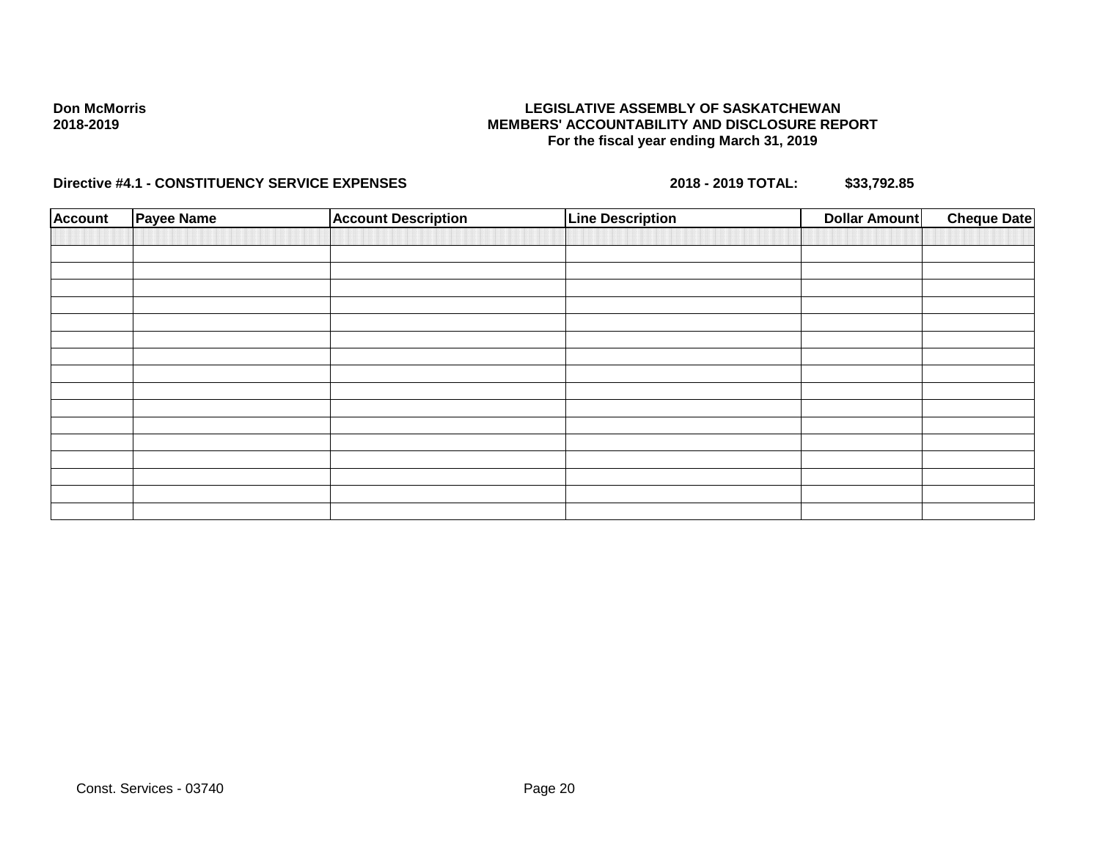## **LEGISLATIVE ASSEMBLY OF SASKATCHEWAN MEMBERS' ACCOUNTABILITY AND DISCLOSURE REPORT For the fiscal year ending March 31, 2019**

| <b>Payee Name</b> | <b>Account Description</b> | <b>Line Description</b> | <b>Dollar Amount</b> | <b>Cheque Date</b> |
|-------------------|----------------------------|-------------------------|----------------------|--------------------|
|                   |                            |                         |                      |                    |
|                   |                            |                         |                      |                    |
|                   |                            |                         |                      |                    |
|                   |                            |                         |                      |                    |
|                   |                            |                         |                      |                    |
|                   |                            |                         |                      |                    |
|                   |                            |                         |                      |                    |
|                   |                            |                         |                      |                    |
|                   |                            |                         |                      |                    |
|                   |                            |                         |                      |                    |
|                   |                            |                         |                      |                    |
|                   |                            |                         |                      |                    |
|                   |                            |                         |                      |                    |
|                   |                            |                         |                      |                    |
|                   |                            |                         |                      |                    |
|                   |                            |                         |                      |                    |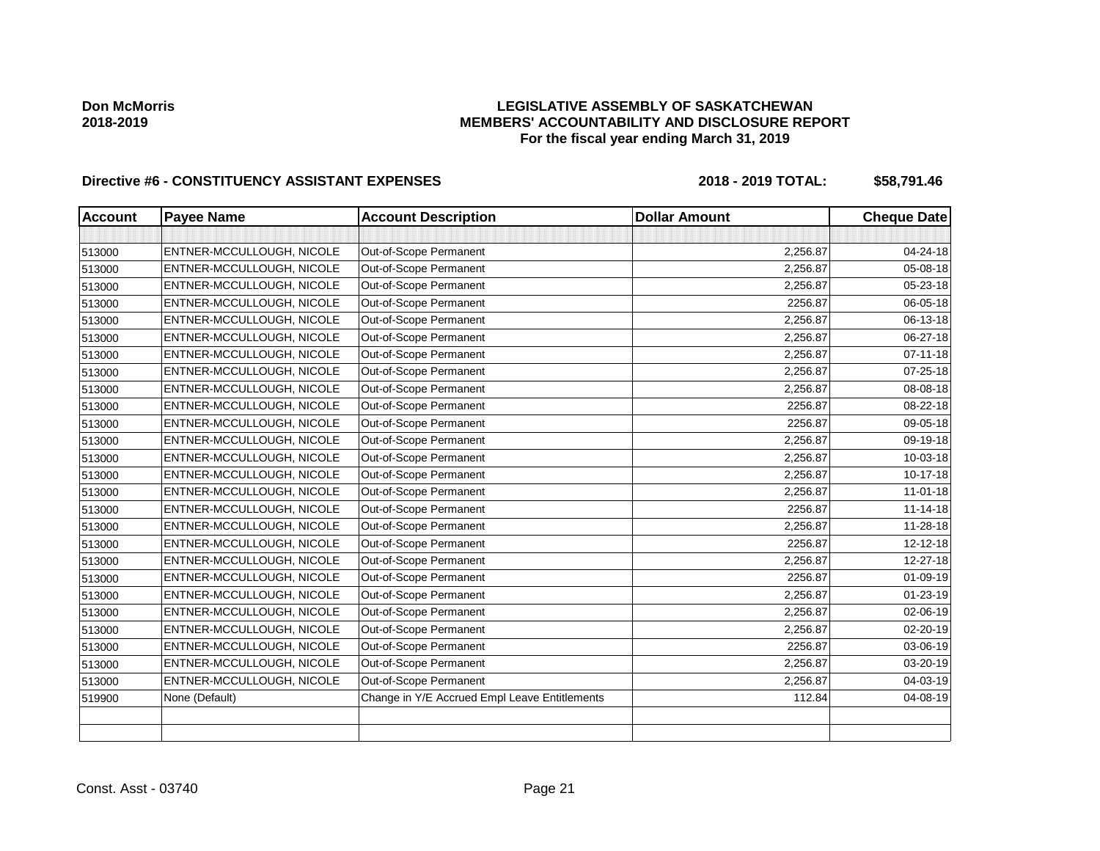# **LEGISLATIVE ASSEMBLY OF SASKATCHEWAN MEMBERS' ACCOUNTABILITY AND DISCLOSURE REPORT For the fiscal year ending March 31, 2019**

| <b>Account</b> | <b>Payee Name</b>         | <b>Account Description</b>                    | <b>Dollar Amount</b> | <b>Cheque Date</b> |
|----------------|---------------------------|-----------------------------------------------|----------------------|--------------------|
|                |                           |                                               |                      |                    |
| 513000         | ENTNER-MCCULLOUGH, NICOLE | Out-of-Scope Permanent                        | 2,256.87             | 04-24-18           |
| 513000         | ENTNER-MCCULLOUGH, NICOLE | Out-of-Scope Permanent                        | 2,256.87             | 05-08-18           |
| 513000         | ENTNER-MCCULLOUGH, NICOLE | Out-of-Scope Permanent                        | 2,256.87             | 05-23-18           |
| 513000         | ENTNER-MCCULLOUGH, NICOLE | Out-of-Scope Permanent                        | 2256.87              | 06-05-18           |
| 513000         | ENTNER-MCCULLOUGH, NICOLE | Out-of-Scope Permanent                        | 2,256.87             | 06-13-18           |
| 513000         | ENTNER-MCCULLOUGH, NICOLE | Out-of-Scope Permanent                        | 2,256.87             | 06-27-18           |
| 513000         | ENTNER-MCCULLOUGH, NICOLE | Out-of-Scope Permanent                        | 2,256.87             | $07 - 11 - 18$     |
| 513000         | ENTNER-MCCULLOUGH, NICOLE | Out-of-Scope Permanent                        | 2,256.87             | 07-25-18           |
| 513000         | ENTNER-MCCULLOUGH, NICOLE | Out-of-Scope Permanent                        | 2,256.87             | 08-08-18           |
| 513000         | ENTNER-MCCULLOUGH, NICOLE | Out-of-Scope Permanent                        | 2256.87              | 08-22-18           |
| 513000         | ENTNER-MCCULLOUGH, NICOLE | Out-of-Scope Permanent                        | 2256.87              | 09-05-18           |
| 513000         | ENTNER-MCCULLOUGH, NICOLE | Out-of-Scope Permanent                        | 2,256.87             | 09-19-18           |
| 513000         | ENTNER-MCCULLOUGH, NICOLE | Out-of-Scope Permanent                        | 2,256.87             | 10-03-18           |
| 513000         | ENTNER-MCCULLOUGH, NICOLE | Out-of-Scope Permanent                        | 2,256.87             | 10-17-18           |
| 513000         | ENTNER-MCCULLOUGH, NICOLE | Out-of-Scope Permanent                        | 2,256.87             | $11 - 01 - 18$     |
| 513000         | ENTNER-MCCULLOUGH, NICOLE | Out-of-Scope Permanent                        | 2256.87              | $11 - 14 - 18$     |
| 513000         | ENTNER-MCCULLOUGH, NICOLE | Out-of-Scope Permanent                        | 2,256.87             | 11-28-18           |
| 513000         | ENTNER-MCCULLOUGH, NICOLE | Out-of-Scope Permanent                        | 2256.87              | 12-12-18           |
| 513000         | ENTNER-MCCULLOUGH, NICOLE | Out-of-Scope Permanent                        | 2,256.87             | 12-27-18           |
| 513000         | ENTNER-MCCULLOUGH, NICOLE | Out-of-Scope Permanent                        | 2256.87              | 01-09-19           |
| 513000         | ENTNER-MCCULLOUGH, NICOLE | Out-of-Scope Permanent                        | 2,256.87             | $01 - 23 - 19$     |
| 513000         | ENTNER-MCCULLOUGH, NICOLE | Out-of-Scope Permanent                        | 2,256.87             | 02-06-19           |
| 513000         | ENTNER-MCCULLOUGH, NICOLE | Out-of-Scope Permanent                        | 2,256.87             | $02 - 20 - 19$     |
| 513000         | ENTNER-MCCULLOUGH, NICOLE | Out-of-Scope Permanent                        | 2256.87              | 03-06-19           |
| 513000         | ENTNER-MCCULLOUGH, NICOLE | Out-of-Scope Permanent                        | 2,256.87             | 03-20-19           |
| 513000         | ENTNER-MCCULLOUGH, NICOLE | Out-of-Scope Permanent                        | 2,256.87             | 04-03-19           |
| 519900         | None (Default)            | Change in Y/E Accrued Empl Leave Entitlements | 112.84               | 04-08-19           |
|                |                           |                                               |                      |                    |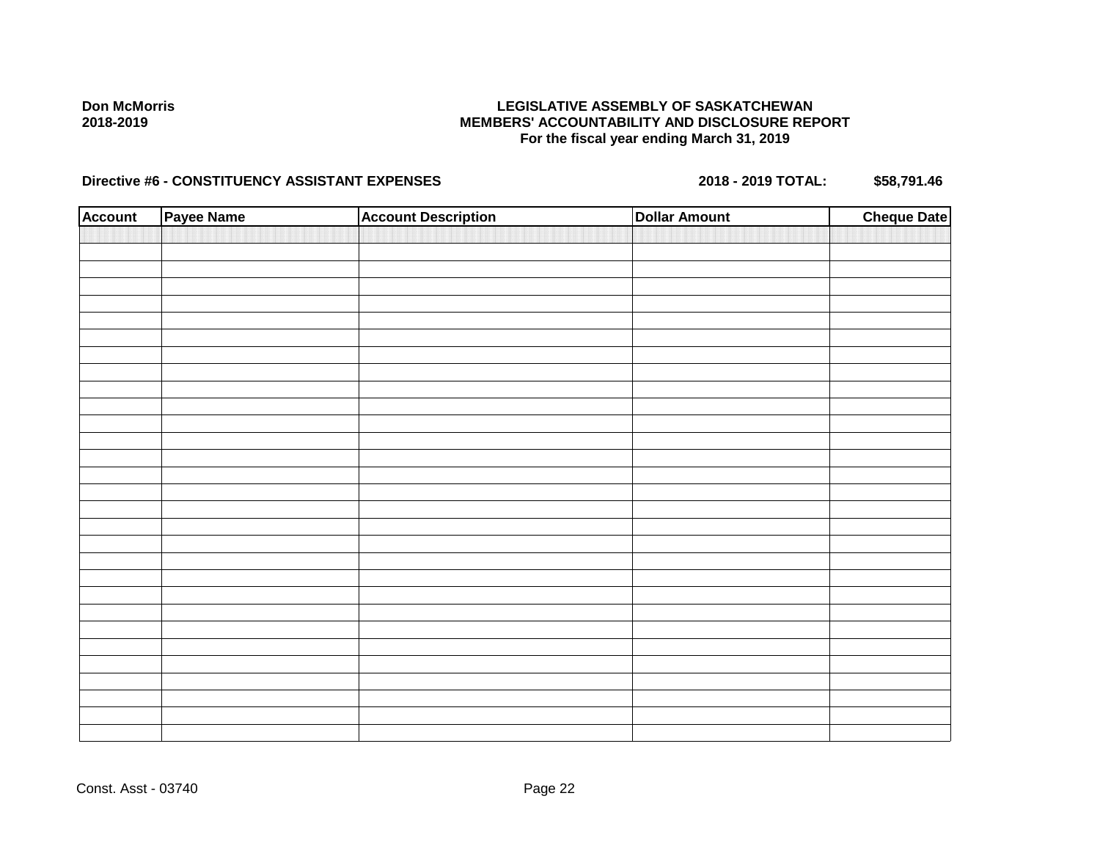## **LEGISLATIVE ASSEMBLY OF SASKATCHEWAN MEMBERS' ACCOUNTABILITY AND DISCLOSURE REPORT For the fiscal year ending March 31, 2019**

| <b>Account</b> | Payee Name | <b>Account Description</b> | <b>Dollar Amount</b> | <b>Cheque Date</b> |
|----------------|------------|----------------------------|----------------------|--------------------|
|                |            |                            |                      |                    |
|                |            |                            |                      |                    |
|                |            |                            |                      |                    |
|                |            |                            |                      |                    |
|                |            |                            |                      |                    |
|                |            |                            |                      |                    |
|                |            |                            |                      |                    |
|                |            |                            |                      |                    |
|                |            |                            |                      |                    |
|                |            |                            |                      |                    |
|                |            |                            |                      |                    |
|                |            |                            |                      |                    |
|                |            |                            |                      |                    |
|                |            |                            |                      |                    |
|                |            |                            |                      |                    |
|                |            |                            |                      |                    |
|                |            |                            |                      |                    |
|                |            |                            |                      |                    |
|                |            |                            |                      |                    |
|                |            |                            |                      |                    |
|                |            |                            |                      |                    |
|                |            |                            |                      |                    |
|                |            |                            |                      |                    |
|                |            |                            |                      |                    |
|                |            |                            |                      |                    |
|                |            |                            |                      |                    |
|                |            |                            |                      |                    |
|                |            |                            |                      |                    |
|                |            |                            |                      |                    |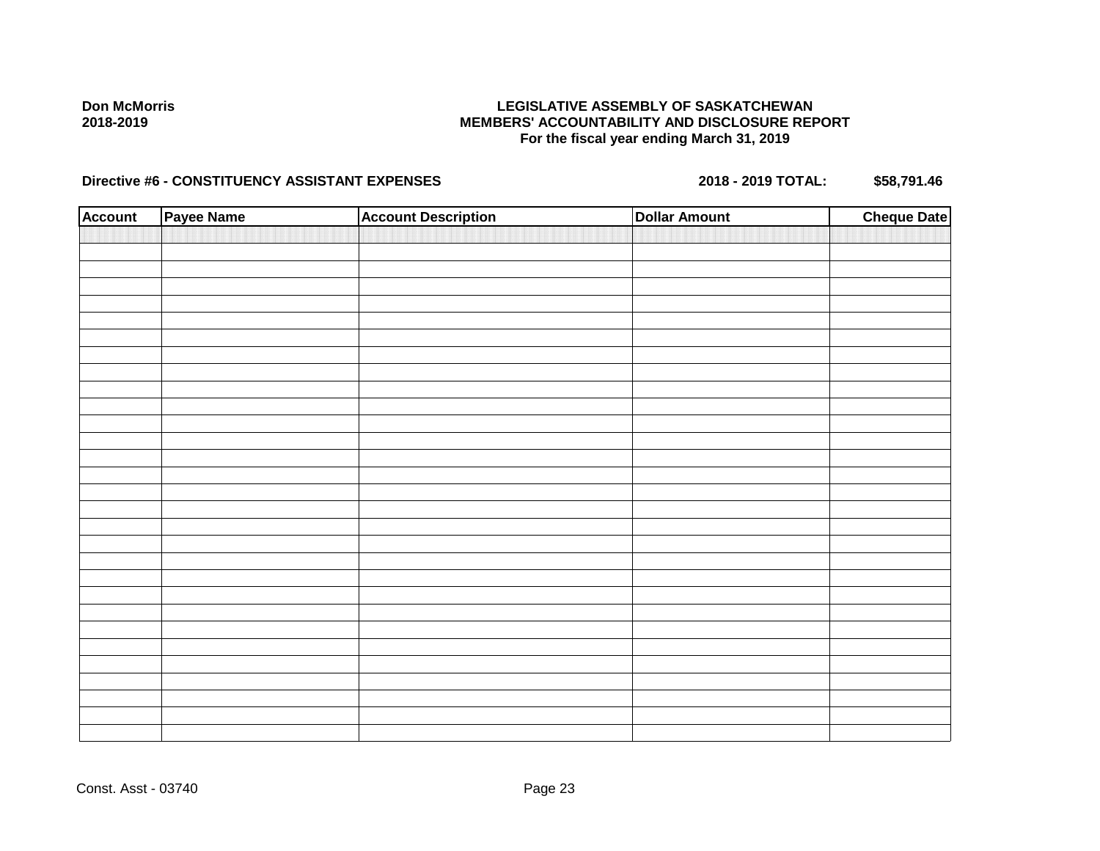## **LEGISLATIVE ASSEMBLY OF SASKATCHEWAN MEMBERS' ACCOUNTABILITY AND DISCLOSURE REPORT For the fiscal year ending March 31, 2019**

| <b>Account</b> | Payee Name | <b>Account Description</b> | <b>Dollar Amount</b> | <b>Cheque Date</b> |
|----------------|------------|----------------------------|----------------------|--------------------|
|                |            |                            |                      |                    |
|                |            |                            |                      |                    |
|                |            |                            |                      |                    |
|                |            |                            |                      |                    |
|                |            |                            |                      |                    |
|                |            |                            |                      |                    |
|                |            |                            |                      |                    |
|                |            |                            |                      |                    |
|                |            |                            |                      |                    |
|                |            |                            |                      |                    |
|                |            |                            |                      |                    |
|                |            |                            |                      |                    |
|                |            |                            |                      |                    |
|                |            |                            |                      |                    |
|                |            |                            |                      |                    |
|                |            |                            |                      |                    |
|                |            |                            |                      |                    |
|                |            |                            |                      |                    |
|                |            |                            |                      |                    |
|                |            |                            |                      |                    |
|                |            |                            |                      |                    |
|                |            |                            |                      |                    |
|                |            |                            |                      |                    |
|                |            |                            |                      |                    |
|                |            |                            |                      |                    |
|                |            |                            |                      |                    |
|                |            |                            |                      |                    |
|                |            |                            |                      |                    |
|                |            |                            |                      |                    |